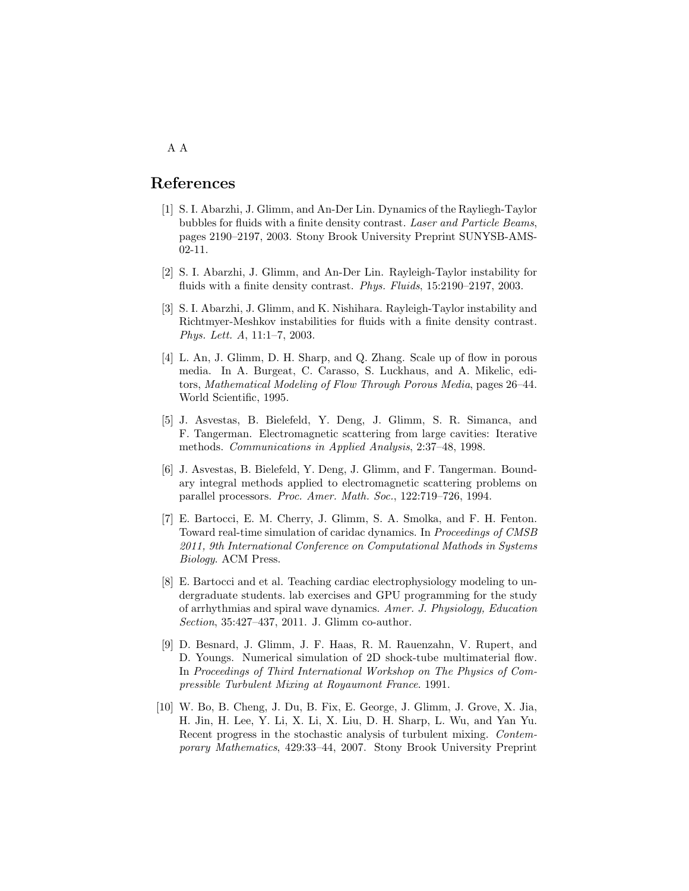## References

- [1] S. I. Abarzhi, J. Glimm, and An-Der Lin. Dynamics of the Rayliegh-Taylor bubbles for fluids with a finite density contrast. Laser and Particle Beams, pages 2190–2197, 2003. Stony Brook University Preprint SUNYSB-AMS-02-11.
- [2] S. I. Abarzhi, J. Glimm, and An-Der Lin. Rayleigh-Taylor instability for fluids with a finite density contrast. *Phys. Fluids*, 15:2190–2197, 2003.
- [3] S. I. Abarzhi, J. Glimm, and K. Nishihara. Rayleigh-Taylor instability and Richtmyer-Meshkov instabilities for fluids with a finite density contrast. Phys. Lett. A, 11:1–7, 2003.
- [4] L. An, J. Glimm, D. H. Sharp, and Q. Zhang. Scale up of flow in porous media. In A. Burgeat, C. Carasso, S. Luckhaus, and A. Mikelic, editors, Mathematical Modeling of Flow Through Porous Media, pages 26–44. World Scientific, 1995.
- [5] J. Asvestas, B. Bielefeld, Y. Deng, J. Glimm, S. R. Simanca, and F. Tangerman. Electromagnetic scattering from large cavities: Iterative methods. Communications in Applied Analysis, 2:37–48, 1998.
- [6] J. Asvestas, B. Bielefeld, Y. Deng, J. Glimm, and F. Tangerman. Boundary integral methods applied to electromagnetic scattering problems on parallel processors. Proc. Amer. Math. Soc., 122:719–726, 1994.
- [7] E. Bartocci, E. M. Cherry, J. Glimm, S. A. Smolka, and F. H. Fenton. Toward real-time simulation of caridac dynamics. In Proceedings of CMSB 2011, 9th International Conference on Computational Mathods in Systems Biology. ACM Press.
- [8] E. Bartocci and et al. Teaching cardiac electrophysiology modeling to undergraduate students. lab exercises and GPU programming for the study of arrhythmias and spiral wave dynamics. Amer. J. Physiology, Education Section, 35:427–437, 2011. J. Glimm co-author.
- [9] D. Besnard, J. Glimm, J. F. Haas, R. M. Rauenzahn, V. Rupert, and D. Youngs. Numerical simulation of 2D shock-tube multimaterial flow. In Proceedings of Third International Workshop on The Physics of Compressible Turbulent Mixing at Royaumont France. 1991.
- [10] W. Bo, B. Cheng, J. Du, B. Fix, E. George, J. Glimm, J. Grove, X. Jia, H. Jin, H. Lee, Y. Li, X. Li, X. Liu, D. H. Sharp, L. Wu, and Yan Yu. Recent progress in the stochastic analysis of turbulent mixing. Contemporary Mathematics, 429:33–44, 2007. Stony Brook University Preprint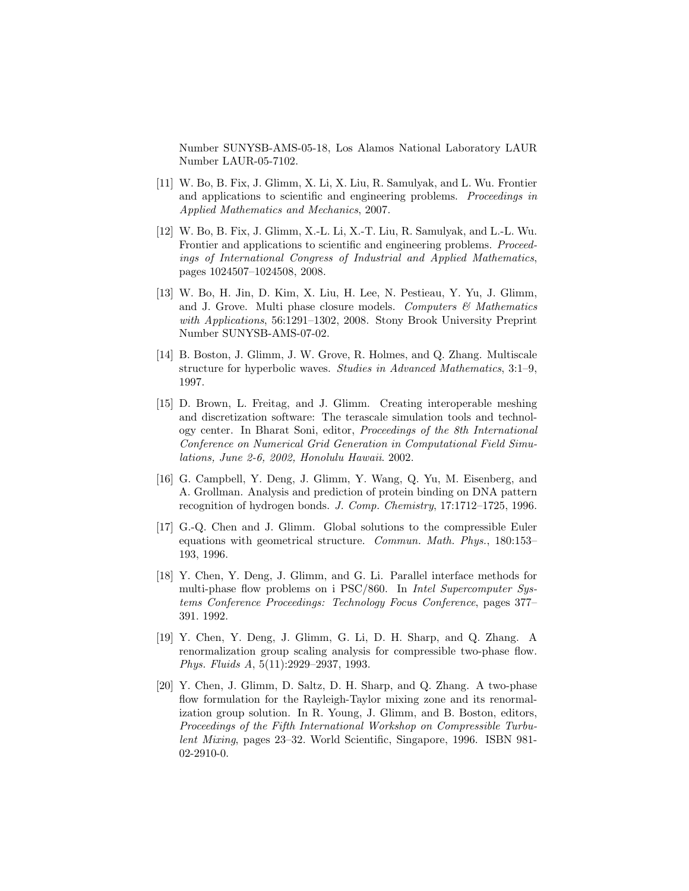Number SUNYSB-AMS-05-18, Los Alamos National Laboratory LAUR Number LAUR-05-7102.

- [11] W. Bo, B. Fix, J. Glimm, X. Li, X. Liu, R. Samulyak, and L. Wu. Frontier and applications to scientific and engineering problems. Proceedings in Applied Mathematics and Mechanics, 2007.
- [12] W. Bo, B. Fix, J. Glimm, X.-L. Li, X.-T. Liu, R. Samulyak, and L.-L. Wu. Frontier and applications to scientific and engineering problems. *Proceed*ings of International Congress of Industrial and Applied Mathematics, pages 1024507–1024508, 2008.
- [13] W. Bo, H. Jin, D. Kim, X. Liu, H. Lee, N. Pestieau, Y. Yu, J. Glimm, and J. Grove. Multi phase closure models. Computers  $\mathcal{C}$  Mathematics with Applications, 56:1291–1302, 2008. Stony Brook University Preprint Number SUNYSB-AMS-07-02.
- [14] B. Boston, J. Glimm, J. W. Grove, R. Holmes, and Q. Zhang. Multiscale structure for hyperbolic waves. Studies in Advanced Mathematics, 3:1–9, 1997.
- [15] D. Brown, L. Freitag, and J. Glimm. Creating interoperable meshing and discretization software: The terascale simulation tools and technology center. In Bharat Soni, editor, Proceedings of the 8th International Conference on Numerical Grid Generation in Computational Field Simulations, June 2-6, 2002, Honolulu Hawaii. 2002.
- [16] G. Campbell, Y. Deng, J. Glimm, Y. Wang, Q. Yu, M. Eisenberg, and A. Grollman. Analysis and prediction of protein binding on DNA pattern recognition of hydrogen bonds. J. Comp. Chemistry, 17:1712–1725, 1996.
- [17] G.-Q. Chen and J. Glimm. Global solutions to the compressible Euler equations with geometrical structure. Commun. Math. Phys., 180:153– 193, 1996.
- [18] Y. Chen, Y. Deng, J. Glimm, and G. Li. Parallel interface methods for multi-phase flow problems on i PSC/860. In *Intel Supercomputer Sys*tems Conference Proceedings: Technology Focus Conference, pages 377– 391. 1992.
- [19] Y. Chen, Y. Deng, J. Glimm, G. Li, D. H. Sharp, and Q. Zhang. A renormalization group scaling analysis for compressible two-phase flow. Phys. Fluids A, 5(11):2929–2937, 1993.
- [20] Y. Chen, J. Glimm, D. Saltz, D. H. Sharp, and Q. Zhang. A two-phase flow formulation for the Rayleigh-Taylor mixing zone and its renormalization group solution. In R. Young, J. Glimm, and B. Boston, editors, Proceedings of the Fifth International Workshop on Compressible Turbulent Mixing, pages 23–32. World Scientific, Singapore, 1996. ISBN 981- 02-2910-0.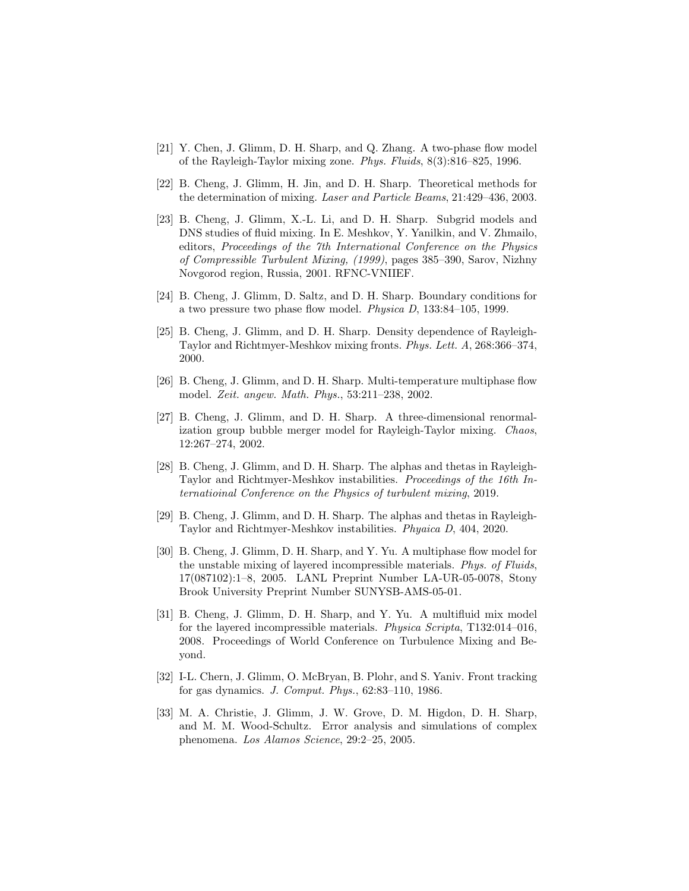- [21] Y. Chen, J. Glimm, D. H. Sharp, and Q. Zhang. A two-phase flow model of the Rayleigh-Taylor mixing zone. Phys. Fluids, 8(3):816–825, 1996.
- [22] B. Cheng, J. Glimm, H. Jin, and D. H. Sharp. Theoretical methods for the determination of mixing. Laser and Particle Beams, 21:429–436, 2003.
- [23] B. Cheng, J. Glimm, X.-L. Li, and D. H. Sharp. Subgrid models and DNS studies of fluid mixing. In E. Meshkov, Y. Yanilkin, and V. Zhmailo, editors, Proceedings of the 7th International Conference on the Physics of Compressible Turbulent Mixing, (1999), pages 385–390, Sarov, Nizhny Novgorod region, Russia, 2001. RFNC-VNIIEF.
- [24] B. Cheng, J. Glimm, D. Saltz, and D. H. Sharp. Boundary conditions for a two pressure two phase flow model. Physica D, 133:84–105, 1999.
- [25] B. Cheng, J. Glimm, and D. H. Sharp. Density dependence of Rayleigh-Taylor and Richtmyer-Meshkov mixing fronts. Phys. Lett. A, 268:366–374, 2000.
- [26] B. Cheng, J. Glimm, and D. H. Sharp. Multi-temperature multiphase flow model. Zeit. angew. Math. Phys., 53:211–238, 2002.
- [27] B. Cheng, J. Glimm, and D. H. Sharp. A three-dimensional renormalization group bubble merger model for Rayleigh-Taylor mixing. Chaos, 12:267–274, 2002.
- [28] B. Cheng, J. Glimm, and D. H. Sharp. The alphas and thetas in Rayleigh-Taylor and Richtmyer-Meshkov instabilities. Proceedings of the 16th Internatioinal Conference on the Physics of turbulent mixing, 2019.
- [29] B. Cheng, J. Glimm, and D. H. Sharp. The alphas and thetas in Rayleigh-Taylor and Richtmyer-Meshkov instabilities. Phyaica D, 404, 2020.
- [30] B. Cheng, J. Glimm, D. H. Sharp, and Y. Yu. A multiphase flow model for the unstable mixing of layered incompressible materials. Phys. of Fluids, 17(087102):1–8, 2005. LANL Preprint Number LA-UR-05-0078, Stony Brook University Preprint Number SUNYSB-AMS-05-01.
- [31] B. Cheng, J. Glimm, D. H. Sharp, and Y. Yu. A multifluid mix model for the layered incompressible materials. Physica Scripta, T132:014–016, 2008. Proceedings of World Conference on Turbulence Mixing and Beyond.
- [32] I-L. Chern, J. Glimm, O. McBryan, B. Plohr, and S. Yaniv. Front tracking for gas dynamics. J. Comput. Phys., 62:83–110, 1986.
- [33] M. A. Christie, J. Glimm, J. W. Grove, D. M. Higdon, D. H. Sharp, and M. M. Wood-Schultz. Error analysis and simulations of complex phenomena. Los Alamos Science, 29:2–25, 2005.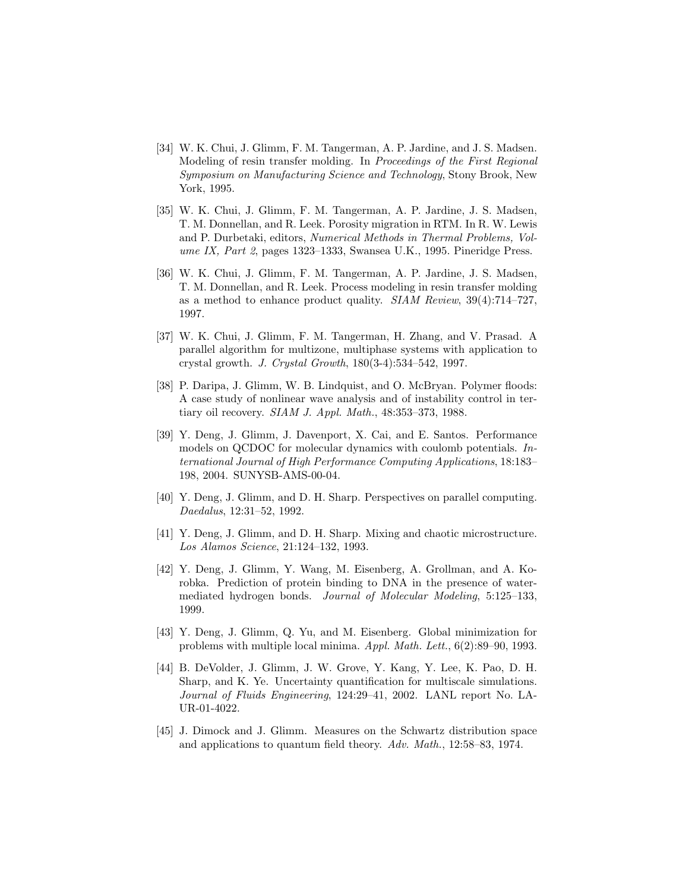- [34] W. K. Chui, J. Glimm, F. M. Tangerman, A. P. Jardine, and J. S. Madsen. Modeling of resin transfer molding. In Proceedings of the First Regional Symposium on Manufacturing Science and Technology, Stony Brook, New York, 1995.
- [35] W. K. Chui, J. Glimm, F. M. Tangerman, A. P. Jardine, J. S. Madsen, T. M. Donnellan, and R. Leek. Porosity migration in RTM. In R. W. Lewis and P. Durbetaki, editors, Numerical Methods in Thermal Problems, Volume IX, Part 2, pages 1323–1333, Swansea U.K., 1995. Pineridge Press.
- [36] W. K. Chui, J. Glimm, F. M. Tangerman, A. P. Jardine, J. S. Madsen, T. M. Donnellan, and R. Leek. Process modeling in resin transfer molding as a method to enhance product quality. SIAM Review, 39(4):714–727, 1997.
- [37] W. K. Chui, J. Glimm, F. M. Tangerman, H. Zhang, and V. Prasad. A parallel algorithm for multizone, multiphase systems with application to crystal growth. J. Crystal Growth, 180(3-4):534–542, 1997.
- [38] P. Daripa, J. Glimm, W. B. Lindquist, and O. McBryan. Polymer floods: A case study of nonlinear wave analysis and of instability control in tertiary oil recovery. SIAM J. Appl. Math., 48:353–373, 1988.
- [39] Y. Deng, J. Glimm, J. Davenport, X. Cai, and E. Santos. Performance models on QCDOC for molecular dynamics with coulomb potentials. International Journal of High Performance Computing Applications, 18:183– 198, 2004. SUNYSB-AMS-00-04.
- [40] Y. Deng, J. Glimm, and D. H. Sharp. Perspectives on parallel computing. Daedalus, 12:31–52, 1992.
- [41] Y. Deng, J. Glimm, and D. H. Sharp. Mixing and chaotic microstructure. Los Alamos Science, 21:124–132, 1993.
- [42] Y. Deng, J. Glimm, Y. Wang, M. Eisenberg, A. Grollman, and A. Korobka. Prediction of protein binding to DNA in the presence of watermediated hydrogen bonds. Journal of Molecular Modeling, 5:125–133, 1999.
- [43] Y. Deng, J. Glimm, Q. Yu, and M. Eisenberg. Global minimization for problems with multiple local minima. Appl. Math. Lett., 6(2):89–90, 1993.
- [44] B. DeVolder, J. Glimm, J. W. Grove, Y. Kang, Y. Lee, K. Pao, D. H. Sharp, and K. Ye. Uncertainty quantification for multiscale simulations. Journal of Fluids Engineering, 124:29–41, 2002. LANL report No. LA-UR-01-4022.
- [45] J. Dimock and J. Glimm. Measures on the Schwartz distribution space and applications to quantum field theory. Adv. Math., 12:58–83, 1974.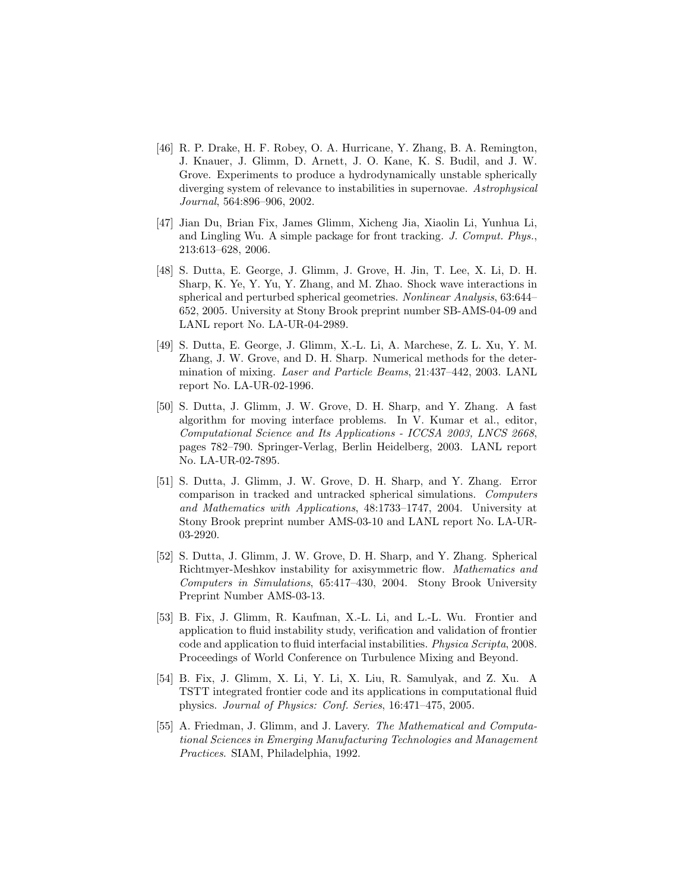- [46] R. P. Drake, H. F. Robey, O. A. Hurricane, Y. Zhang, B. A. Remington, J. Knauer, J. Glimm, D. Arnett, J. O. Kane, K. S. Budil, and J. W. Grove. Experiments to produce a hydrodynamically unstable spherically diverging system of relevance to instabilities in supernovae. Astrophysical Journal, 564:896–906, 2002.
- [47] Jian Du, Brian Fix, James Glimm, Xicheng Jia, Xiaolin Li, Yunhua Li, and Lingling Wu. A simple package for front tracking. J. Comput. Phys., 213:613–628, 2006.
- [48] S. Dutta, E. George, J. Glimm, J. Grove, H. Jin, T. Lee, X. Li, D. H. Sharp, K. Ye, Y. Yu, Y. Zhang, and M. Zhao. Shock wave interactions in spherical and perturbed spherical geometries. Nonlinear Analysis, 63:644– 652, 2005. University at Stony Brook preprint number SB-AMS-04-09 and LANL report No. LA-UR-04-2989.
- [49] S. Dutta, E. George, J. Glimm, X.-L. Li, A. Marchese, Z. L. Xu, Y. M. Zhang, J. W. Grove, and D. H. Sharp. Numerical methods for the determination of mixing. Laser and Particle Beams, 21:437–442, 2003. LANL report No. LA-UR-02-1996.
- [50] S. Dutta, J. Glimm, J. W. Grove, D. H. Sharp, and Y. Zhang. A fast algorithm for moving interface problems. In V. Kumar et al., editor, Computational Science and Its Applications - ICCSA 2003, LNCS 2668, pages 782–790. Springer-Verlag, Berlin Heidelberg, 2003. LANL report No. LA-UR-02-7895.
- [51] S. Dutta, J. Glimm, J. W. Grove, D. H. Sharp, and Y. Zhang. Error comparison in tracked and untracked spherical simulations. Computers and Mathematics with Applications, 48:1733–1747, 2004. University at Stony Brook preprint number AMS-03-10 and LANL report No. LA-UR-03-2920.
- [52] S. Dutta, J. Glimm, J. W. Grove, D. H. Sharp, and Y. Zhang. Spherical Richtmyer-Meshkov instability for axisymmetric flow. Mathematics and Computers in Simulations, 65:417–430, 2004. Stony Brook University Preprint Number AMS-03-13.
- [53] B. Fix, J. Glimm, R. Kaufman, X.-L. Li, and L.-L. Wu. Frontier and application to fluid instability study, verification and validation of frontier code and application to fluid interfacial instabilities. Physica Scripta, 2008. Proceedings of World Conference on Turbulence Mixing and Beyond.
- [54] B. Fix, J. Glimm, X. Li, Y. Li, X. Liu, R. Samulyak, and Z. Xu. A TSTT integrated frontier code and its applications in computational fluid physics. Journal of Physics: Conf. Series, 16:471–475, 2005.
- [55] A. Friedman, J. Glimm, and J. Lavery. The Mathematical and Computational Sciences in Emerging Manufacturing Technologies and Management Practices. SIAM, Philadelphia, 1992.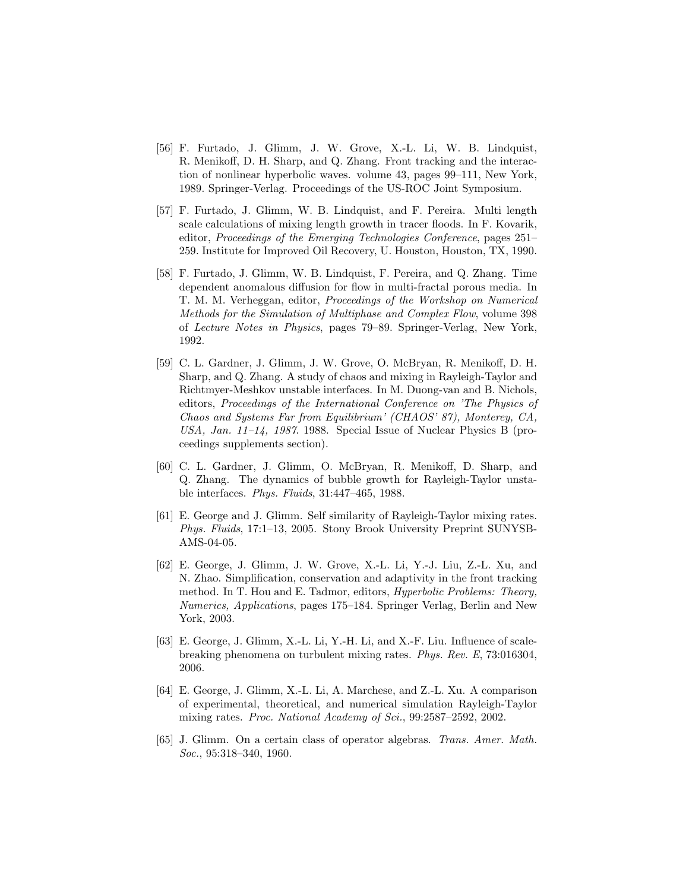- [56] F. Furtado, J. Glimm, J. W. Grove, X.-L. Li, W. B. Lindquist, R. Menikoff, D. H. Sharp, and Q. Zhang. Front tracking and the interaction of nonlinear hyperbolic waves. volume 43, pages 99–111, New York, 1989. Springer-Verlag. Proceedings of the US-ROC Joint Symposium.
- [57] F. Furtado, J. Glimm, W. B. Lindquist, and F. Pereira. Multi length scale calculations of mixing length growth in tracer floods. In F. Kovarik, editor, Proceedings of the Emerging Technologies Conference, pages 251– 259. Institute for Improved Oil Recovery, U. Houston, Houston, TX, 1990.
- [58] F. Furtado, J. Glimm, W. B. Lindquist, F. Pereira, and Q. Zhang. Time dependent anomalous diffusion for flow in multi-fractal porous media. In T. M. M. Verheggan, editor, Proceedings of the Workshop on Numerical Methods for the Simulation of Multiphase and Complex Flow, volume 398 of Lecture Notes in Physics, pages 79–89. Springer-Verlag, New York, 1992.
- [59] C. L. Gardner, J. Glimm, J. W. Grove, O. McBryan, R. Menikoff, D. H. Sharp, and Q. Zhang. A study of chaos and mixing in Rayleigh-Taylor and Richtmyer-Meshkov unstable interfaces. In M. Duong-van and B. Nichols, editors, Proceedings of the International Conference on 'The Physics of Chaos and Systems Far from Equilibrium' (CHAOS' 87), Monterey, CA, USA, Jan.  $11-14$ , 1987. 1988. Special Issue of Nuclear Physics B (proceedings supplements section).
- [60] C. L. Gardner, J. Glimm, O. McBryan, R. Menikoff, D. Sharp, and Q. Zhang. The dynamics of bubble growth for Rayleigh-Taylor unstable interfaces. Phys. Fluids, 31:447–465, 1988.
- [61] E. George and J. Glimm. Self similarity of Rayleigh-Taylor mixing rates. Phys. Fluids, 17:1–13, 2005. Stony Brook University Preprint SUNYSB-AMS-04-05.
- [62] E. George, J. Glimm, J. W. Grove, X.-L. Li, Y.-J. Liu, Z.-L. Xu, and N. Zhao. Simplification, conservation and adaptivity in the front tracking method. In T. Hou and E. Tadmor, editors, *Hyperbolic Problems: Theory*, Numerics, Applications, pages 175–184. Springer Verlag, Berlin and New York, 2003.
- [63] E. George, J. Glimm, X.-L. Li, Y.-H. Li, and X.-F. Liu. Influence of scalebreaking phenomena on turbulent mixing rates. Phys. Rev. E, 73:016304, 2006.
- [64] E. George, J. Glimm, X.-L. Li, A. Marchese, and Z.-L. Xu. A comparison of experimental, theoretical, and numerical simulation Rayleigh-Taylor mixing rates. Proc. National Academy of Sci., 99:2587–2592, 2002.
- [65] J. Glimm. On a certain class of operator algebras. Trans. Amer. Math. Soc., 95:318–340, 1960.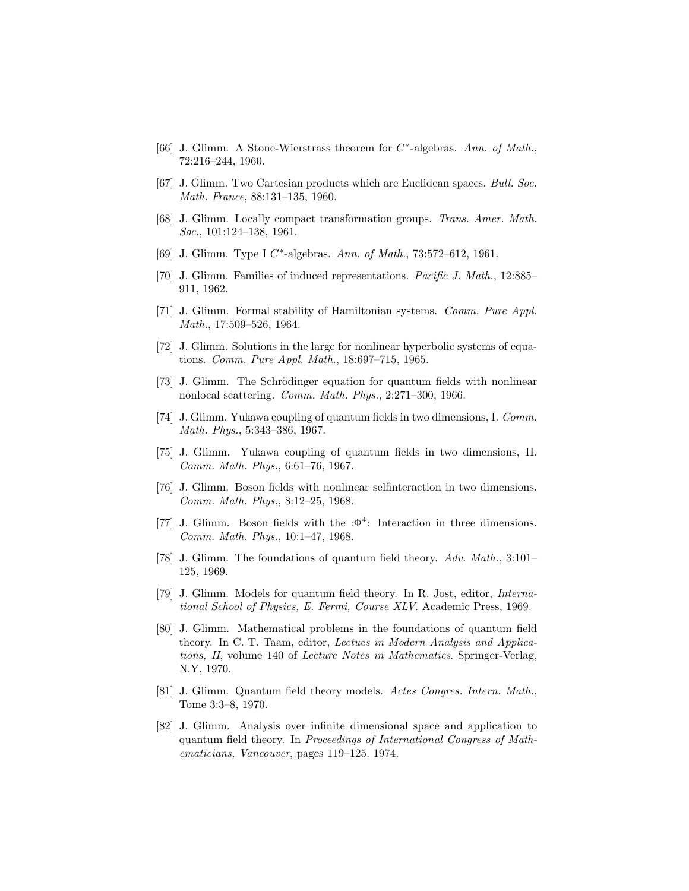- [66] J. Glimm. A Stone-Wierstrass theorem for  $C^*$ -algebras. Ann. of Math., 72:216–244, 1960.
- [67] J. Glimm. Two Cartesian products which are Euclidean spaces. Bull. Soc. Math. France, 88:131–135, 1960.
- [68] J. Glimm. Locally compact transformation groups. Trans. Amer. Math. Soc., 101:124-138, 1961.
- [69] J. Glimm. Type I C\*-algebras. Ann. of Math., 73:572-612, 1961.
- [70] J. Glimm. Families of induced representations. Pacific J. Math., 12:885– 911, 1962.
- [71] J. Glimm. Formal stability of Hamiltonian systems. Comm. Pure Appl. Math., 17:509–526, 1964.
- [72] J. Glimm. Solutions in the large for nonlinear hyperbolic systems of equations. Comm. Pure Appl. Math., 18:697–715, 1965.
- [73] J. Glimm. The Schrödinger equation for quantum fields with nonlinear nonlocal scattering. Comm. Math. Phys., 2:271–300, 1966.
- [74] J. Glimm. Yukawa coupling of quantum fields in two dimensions, I. Comm. Math. Phys., 5:343–386, 1967.
- [75] J. Glimm. Yukawa coupling of quantum fields in two dimensions, II. Comm. Math. Phys., 6:61–76, 1967.
- [76] J. Glimm. Boson fields with nonlinear selfinteraction in two dimensions. Comm. Math. Phys., 8:12–25, 1968.
- [77] J. Glimm. Boson fields with the : $\Phi^4$ : Interaction in three dimensions. Comm. Math. Phys., 10:1–47, 1968.
- [78] J. Glimm. The foundations of quantum field theory. Adv. Math., 3:101– 125, 1969.
- [79] J. Glimm. Models for quantum field theory. In R. Jost, editor, International School of Physics, E. Fermi, Course XLV. Academic Press, 1969.
- [80] J. Glimm. Mathematical problems in the foundations of quantum field theory. In C. T. Taam, editor, Lectues in Modern Analysis and Applications, II, volume 140 of Lecture Notes in Mathematics. Springer-Verlag, N.Y, 1970.
- [81] J. Glimm. Quantum field theory models. Actes Congres. Intern. Math., Tome 3:3–8, 1970.
- [82] J. Glimm. Analysis over infinite dimensional space and application to quantum field theory. In Proceedings of International Congress of Mathematicians, Vancouver, pages 119–125. 1974.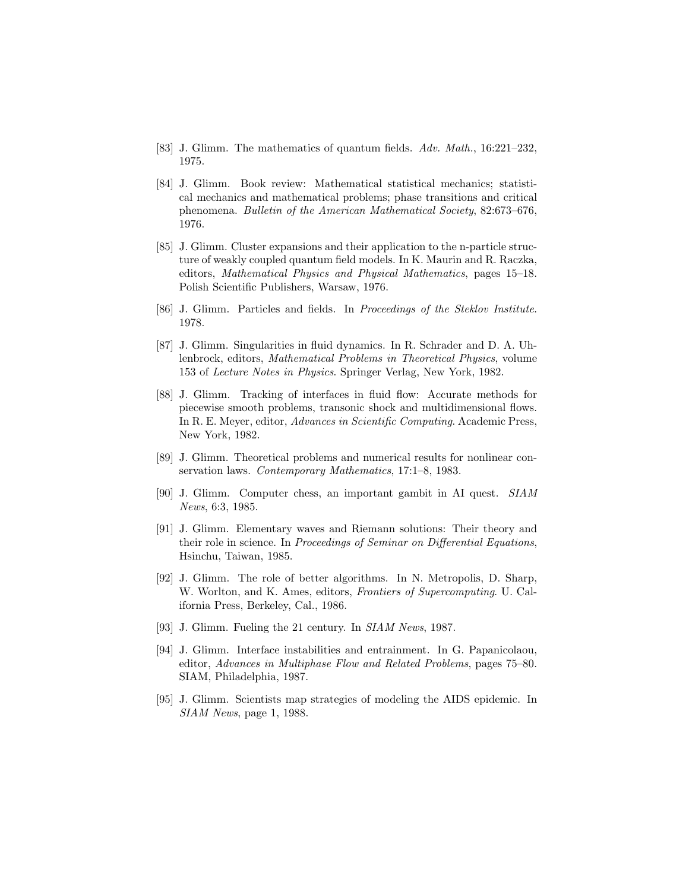- [83] J. Glimm. The mathematics of quantum fields. Adv. Math., 16:221–232, 1975.
- [84] J. Glimm. Book review: Mathematical statistical mechanics; statistical mechanics and mathematical problems; phase transitions and critical phenomena. Bulletin of the American Mathematical Society, 82:673–676, 1976.
- [85] J. Glimm. Cluster expansions and their application to the n-particle structure of weakly coupled quantum field models. In K. Maurin and R. Raczka, editors, Mathematical Physics and Physical Mathematics, pages 15–18. Polish Scientific Publishers, Warsaw, 1976.
- [86] J. Glimm. Particles and fields. In Proceedings of the Steklov Institute. 1978.
- [87] J. Glimm. Singularities in fluid dynamics. In R. Schrader and D. A. Uhlenbrock, editors, Mathematical Problems in Theoretical Physics, volume 153 of Lecture Notes in Physics. Springer Verlag, New York, 1982.
- [88] J. Glimm. Tracking of interfaces in fluid flow: Accurate methods for piecewise smooth problems, transonic shock and multidimensional flows. In R. E. Meyer, editor, Advances in Scientific Computing. Academic Press, New York, 1982.
- [89] J. Glimm. Theoretical problems and numerical results for nonlinear conservation laws. Contemporary Mathematics, 17:1–8, 1983.
- [90] J. Glimm. Computer chess, an important gambit in AI quest. SIAM News, 6:3, 1985.
- [91] J. Glimm. Elementary waves and Riemann solutions: Their theory and their role in science. In Proceedings of Seminar on Differential Equations, Hsinchu, Taiwan, 1985.
- [92] J. Glimm. The role of better algorithms. In N. Metropolis, D. Sharp, W. Worlton, and K. Ames, editors, Frontiers of Supercomputing. U. California Press, Berkeley, Cal., 1986.
- [93] J. Glimm. Fueling the 21 century. In SIAM News, 1987.
- [94] J. Glimm. Interface instabilities and entrainment. In G. Papanicolaou, editor, Advances in Multiphase Flow and Related Problems, pages 75–80. SIAM, Philadelphia, 1987.
- [95] J. Glimm. Scientists map strategies of modeling the AIDS epidemic. In SIAM News, page 1, 1988.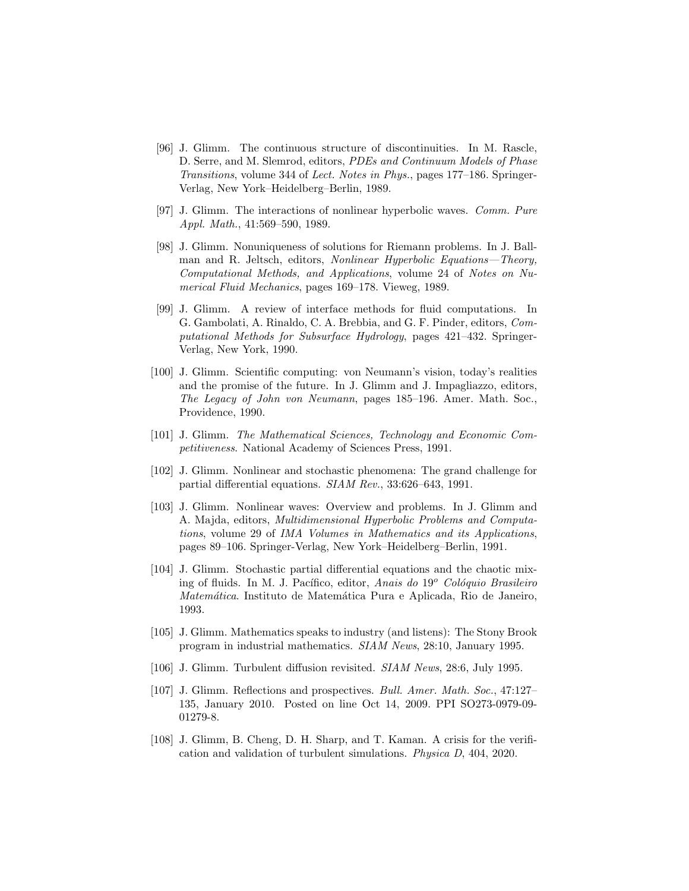- [96] J. Glimm. The continuous structure of discontinuities. In M. Rascle, D. Serre, and M. Slemrod, editors, PDEs and Continuum Models of Phase Transitions, volume 344 of Lect. Notes in Phys., pages 177–186. Springer-Verlag, New York–Heidelberg–Berlin, 1989.
- [97] J. Glimm. The interactions of nonlinear hyperbolic waves. Comm. Pure Appl. Math., 41:569–590, 1989.
- [98] J. Glimm. Nonuniqueness of solutions for Riemann problems. In J. Ballman and R. Jeltsch, editors, Nonlinear Hyperbolic Equations—Theory, Computational Methods, and Applications, volume 24 of Notes on Numerical Fluid Mechanics, pages 169–178. Vieweg, 1989.
- [99] J. Glimm. A review of interface methods for fluid computations. In G. Gambolati, A. Rinaldo, C. A. Brebbia, and G. F. Pinder, editors, Computational Methods for Subsurface Hydrology, pages 421–432. Springer-Verlag, New York, 1990.
- [100] J. Glimm. Scientific computing: von Neumann's vision, today's realities and the promise of the future. In J. Glimm and J. Impagliazzo, editors, The Legacy of John von Neumann, pages 185–196. Amer. Math. Soc., Providence, 1990.
- [101] J. Glimm. The Mathematical Sciences, Technology and Economic Competitiveness. National Academy of Sciences Press, 1991.
- [102] J. Glimm. Nonlinear and stochastic phenomena: The grand challenge for partial differential equations. SIAM Rev., 33:626–643, 1991.
- [103] J. Glimm. Nonlinear waves: Overview and problems. In J. Glimm and A. Majda, editors, Multidimensional Hyperbolic Problems and Computations, volume 29 of IMA Volumes in Mathematics and its Applications, pages 89–106. Springer-Verlag, New York–Heidelberg–Berlin, 1991.
- [104] J. Glimm. Stochastic partial differential equations and the chaotic mixing of fluids. In M. J. Pacífico, editor, Anais do 19<sup>o</sup> Colóquio Brasileiro Matemática. Instituto de Matemática Pura e Aplicada, Rio de Janeiro, 1993.
- [105] J. Glimm. Mathematics speaks to industry (and listens): The Stony Brook program in industrial mathematics. SIAM News, 28:10, January 1995.
- [106] J. Glimm. Turbulent diffusion revisited. SIAM News, 28:6, July 1995.
- [107] J. Glimm. Reflections and prospectives. Bull. Amer. Math. Soc., 47:127– 135, January 2010. Posted on line Oct 14, 2009. PPI SO273-0979-09- 01279-8.
- [108] J. Glimm, B. Cheng, D. H. Sharp, and T. Kaman. A crisis for the verification and validation of turbulent simulations. Physica D, 404, 2020.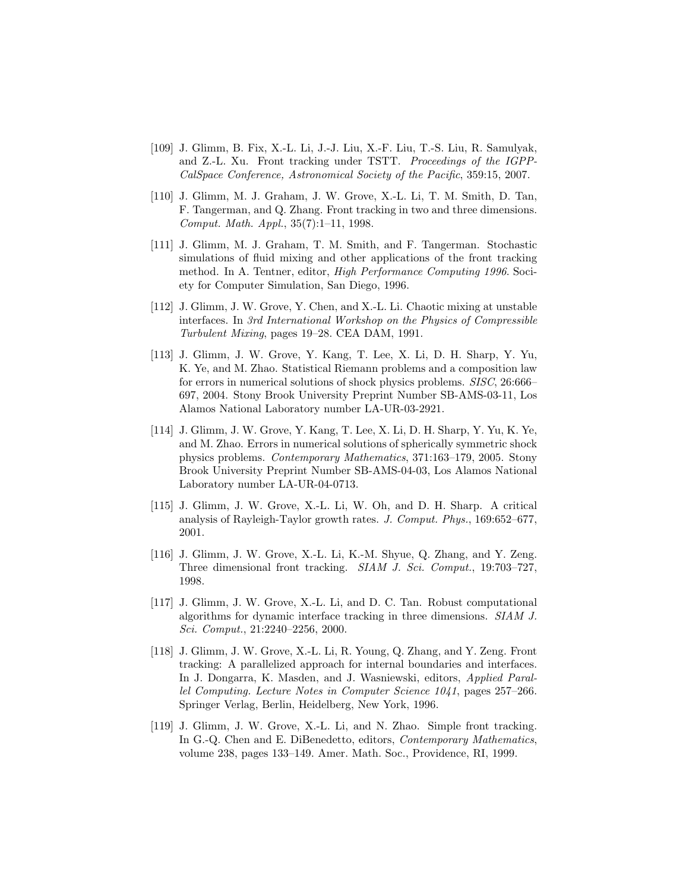- [109] J. Glimm, B. Fix, X.-L. Li, J.-J. Liu, X.-F. Liu, T.-S. Liu, R. Samulyak, and Z.-L. Xu. Front tracking under TSTT. Proceedings of the IGPP-CalSpace Conference, Astronomical Society of the Pacific, 359:15, 2007.
- [110] J. Glimm, M. J. Graham, J. W. Grove, X.-L. Li, T. M. Smith, D. Tan, F. Tangerman, and Q. Zhang. Front tracking in two and three dimensions. Comput. Math. Appl., 35(7):1–11, 1998.
- [111] J. Glimm, M. J. Graham, T. M. Smith, and F. Tangerman. Stochastic simulations of fluid mixing and other applications of the front tracking method. In A. Tentner, editor, High Performance Computing 1996. Society for Computer Simulation, San Diego, 1996.
- [112] J. Glimm, J. W. Grove, Y. Chen, and X.-L. Li. Chaotic mixing at unstable interfaces. In 3rd International Workshop on the Physics of Compressible Turbulent Mixing, pages 19–28. CEA DAM, 1991.
- [113] J. Glimm, J. W. Grove, Y. Kang, T. Lee, X. Li, D. H. Sharp, Y. Yu, K. Ye, and M. Zhao. Statistical Riemann problems and a composition law for errors in numerical solutions of shock physics problems. SISC, 26:666– 697, 2004. Stony Brook University Preprint Number SB-AMS-03-11, Los Alamos National Laboratory number LA-UR-03-2921.
- [114] J. Glimm, J. W. Grove, Y. Kang, T. Lee, X. Li, D. H. Sharp, Y. Yu, K. Ye, and M. Zhao. Errors in numerical solutions of spherically symmetric shock physics problems. Contemporary Mathematics, 371:163–179, 2005. Stony Brook University Preprint Number SB-AMS-04-03, Los Alamos National Laboratory number LA-UR-04-0713.
- [115] J. Glimm, J. W. Grove, X.-L. Li, W. Oh, and D. H. Sharp. A critical analysis of Rayleigh-Taylor growth rates. J. Comput. Phys., 169:652–677, 2001.
- [116] J. Glimm, J. W. Grove, X.-L. Li, K.-M. Shyue, Q. Zhang, and Y. Zeng. Three dimensional front tracking. SIAM J. Sci. Comput., 19:703–727, 1998.
- [117] J. Glimm, J. W. Grove, X.-L. Li, and D. C. Tan. Robust computational algorithms for dynamic interface tracking in three dimensions. SIAM J. Sci. Comput., 21:2240–2256, 2000.
- [118] J. Glimm, J. W. Grove, X.-L. Li, R. Young, Q. Zhang, and Y. Zeng. Front tracking: A parallelized approach for internal boundaries and interfaces. In J. Dongarra, K. Masden, and J. Wasniewski, editors, Applied Parallel Computing. Lecture Notes in Computer Science 1041, pages 257–266. Springer Verlag, Berlin, Heidelberg, New York, 1996.
- [119] J. Glimm, J. W. Grove, X.-L. Li, and N. Zhao. Simple front tracking. In G.-Q. Chen and E. DiBenedetto, editors, *Contemporary Mathematics*, volume 238, pages 133–149. Amer. Math. Soc., Providence, RI, 1999.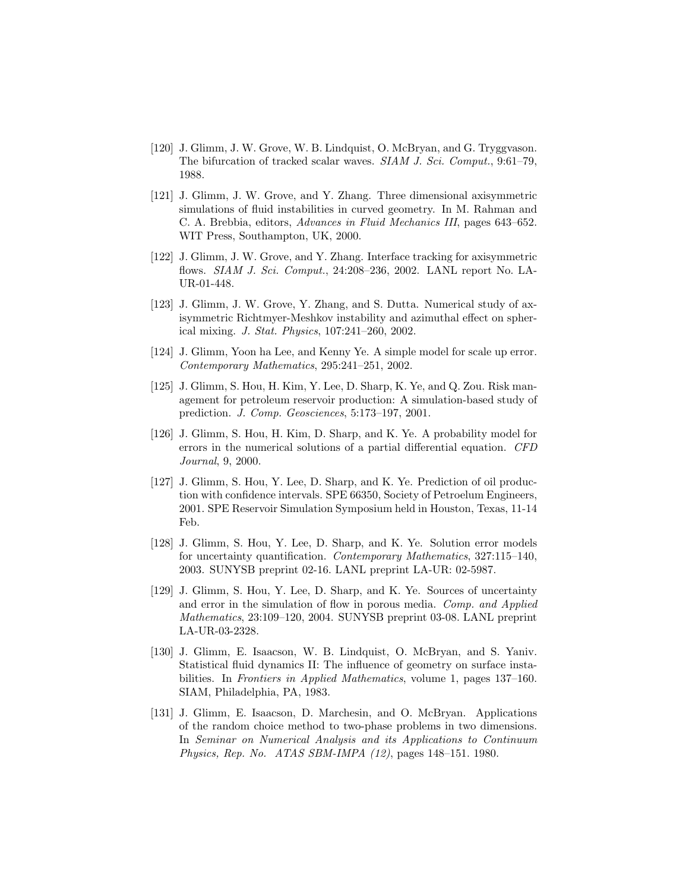- [120] J. Glimm, J. W. Grove, W. B. Lindquist, O. McBryan, and G. Tryggvason. The bifurcation of tracked scalar waves. SIAM J. Sci. Comput., 9:61–79, 1988.
- [121] J. Glimm, J. W. Grove, and Y. Zhang. Three dimensional axisymmetric simulations of fluid instabilities in curved geometry. In M. Rahman and C. A. Brebbia, editors, Advances in Fluid Mechanics III, pages 643–652. WIT Press, Southampton, UK, 2000.
- [122] J. Glimm, J. W. Grove, and Y. Zhang. Interface tracking for axisymmetric flows. SIAM J. Sci. Comput., 24:208–236, 2002. LANL report No. LA-UR-01-448.
- [123] J. Glimm, J. W. Grove, Y. Zhang, and S. Dutta. Numerical study of axisymmetric Richtmyer-Meshkov instability and azimuthal effect on spherical mixing. J. Stat. Physics, 107:241–260, 2002.
- [124] J. Glimm, Yoon ha Lee, and Kenny Ye. A simple model for scale up error. Contemporary Mathematics, 295:241–251, 2002.
- [125] J. Glimm, S. Hou, H. Kim, Y. Lee, D. Sharp, K. Ye, and Q. Zou. Risk management for petroleum reservoir production: A simulation-based study of prediction. J. Comp. Geosciences, 5:173–197, 2001.
- [126] J. Glimm, S. Hou, H. Kim, D. Sharp, and K. Ye. A probability model for errors in the numerical solutions of a partial differential equation. CFD Journal, 9, 2000.
- [127] J. Glimm, S. Hou, Y. Lee, D. Sharp, and K. Ye. Prediction of oil production with confidence intervals. SPE 66350, Society of Petroelum Engineers, 2001. SPE Reservoir Simulation Symposium held in Houston, Texas, 11-14 Feb.
- [128] J. Glimm, S. Hou, Y. Lee, D. Sharp, and K. Ye. Solution error models for uncertainty quantification. Contemporary Mathematics, 327:115–140, 2003. SUNYSB preprint 02-16. LANL preprint LA-UR: 02-5987.
- [129] J. Glimm, S. Hou, Y. Lee, D. Sharp, and K. Ye. Sources of uncertainty and error in the simulation of flow in porous media. Comp. and Applied Mathematics, 23:109–120, 2004. SUNYSB preprint 03-08. LANL preprint LA-UR-03-2328.
- [130] J. Glimm, E. Isaacson, W. B. Lindquist, O. McBryan, and S. Yaniv. Statistical fluid dynamics II: The influence of geometry on surface instabilities. In Frontiers in Applied Mathematics, volume 1, pages 137–160. SIAM, Philadelphia, PA, 1983.
- [131] J. Glimm, E. Isaacson, D. Marchesin, and O. McBryan. Applications of the random choice method to two-phase problems in two dimensions. In Seminar on Numerical Analysis and its Applications to Continuum Physics, Rep. No. ATAS SBM-IMPA (12), pages 148–151. 1980.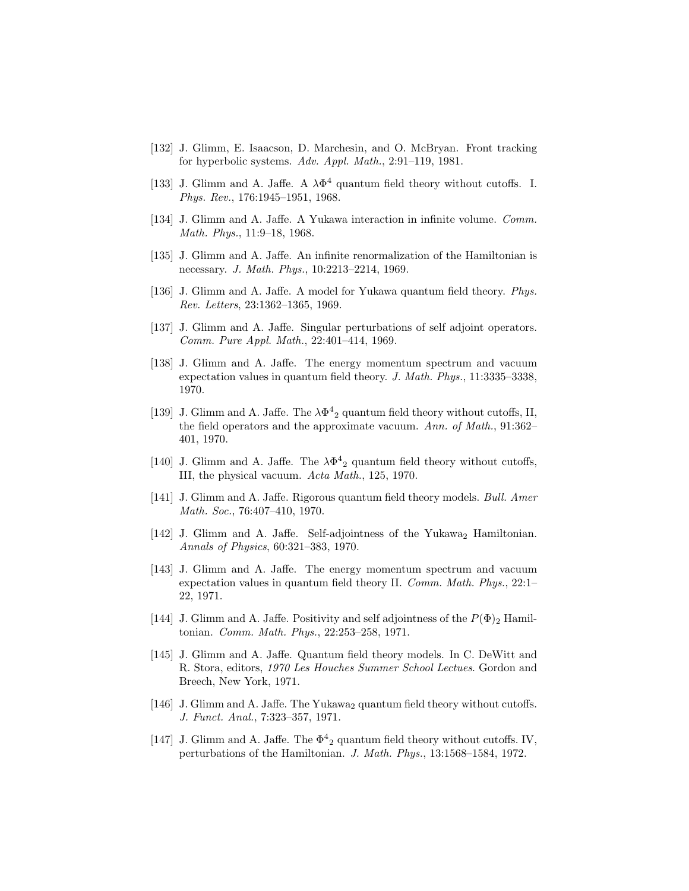- [132] J. Glimm, E. Isaacson, D. Marchesin, and O. McBryan. Front tracking for hyperbolic systems. Adv. Appl. Math., 2:91–119, 1981.
- [133] J. Glimm and A. Jaffe. A  $\lambda \Phi^4$  quantum field theory without cutoffs. I. Phys. Rev., 176:1945–1951, 1968.
- [134] J. Glimm and A. Jaffe. A Yukawa interaction in infinite volume. Comm. Math. Phys., 11:9–18, 1968.
- [135] J. Glimm and A. Jaffe. An infinite renormalization of the Hamiltonian is necessary. J. Math. Phys., 10:2213–2214, 1969.
- [136] J. Glimm and A. Jaffe. A model for Yukawa quantum field theory. Phys. Rev. Letters, 23:1362–1365, 1969.
- [137] J. Glimm and A. Jaffe. Singular perturbations of self adjoint operators. Comm. Pure Appl. Math., 22:401–414, 1969.
- [138] J. Glimm and A. Jaffe. The energy momentum spectrum and vacuum expectation values in quantum field theory. J. Math. Phys., 11:3335–3338, 1970.
- [139] J. Glimm and A. Jaffe. The  $\lambda \Phi^4$ <sub>2</sub> quantum field theory without cutoffs, II, the field operators and the approximate vacuum. Ann. of Math., 91:362-401, 1970.
- [140] J. Glimm and A. Jaffe. The  $\lambda \Phi^4$ <sub>2</sub> quantum field theory without cutoffs, III, the physical vacuum. Acta Math., 125, 1970.
- [141] J. Glimm and A. Jaffe. Rigorous quantum field theory models. Bull. Amer Math. Soc., 76:407–410, 1970.
- [142] J. Glimm and A. Jaffe. Self-adjointness of the Yukawa<sub>2</sub> Hamiltonian. Annals of Physics, 60:321–383, 1970.
- [143] J. Glimm and A. Jaffe. The energy momentum spectrum and vacuum expectation values in quantum field theory II. Comm. Math. Phys., 22:1– 22, 1971.
- [144] J. Glimm and A. Jaffe. Positivity and self adjointness of the  $P(\Phi)_2$  Hamiltonian. Comm. Math. Phys., 22:253–258, 1971.
- [145] J. Glimm and A. Jaffe. Quantum field theory models. In C. DeWitt and R. Stora, editors, 1970 Les Houches Summer School Lectues. Gordon and Breech, New York, 1971.
- [146] J. Glimm and A. Jaffe. The Yukawa<sub>2</sub> quantum field theory without cutoffs. J. Funct. Anal., 7:323–357, 1971.
- [147] J. Glimm and A. Jaffe. The  $\Phi^4$ <sub>2</sub> quantum field theory without cutoffs. IV, perturbations of the Hamiltonian. J. Math. Phys., 13:1568–1584, 1972.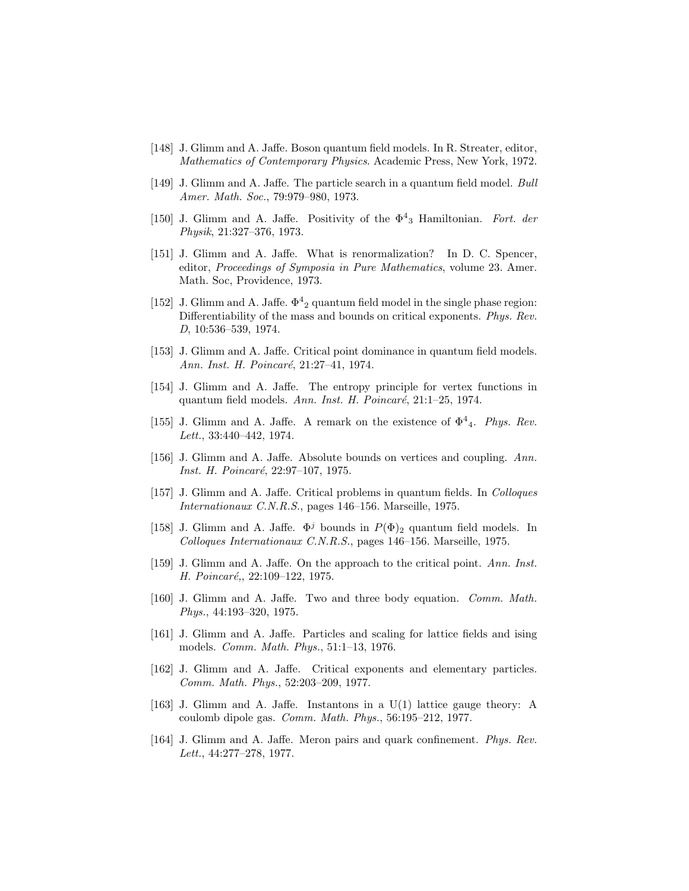- [148] J. Glimm and A. Jaffe. Boson quantum field models. In R. Streater, editor, Mathematics of Contemporary Physics. Academic Press, New York, 1972.
- [149] J. Glimm and A. Jaffe. The particle search in a quantum field model. Bull Amer. Math. Soc., 79:979–980, 1973.
- [150] J. Glimm and A. Jaffe. Positivity of the  $\Phi^4$ <sub>3</sub> Hamiltonian. Fort. der Physik, 21:327–376, 1973.
- [151] J. Glimm and A. Jaffe. What is renormalization? In D. C. Spencer, editor, Proceedings of Symposia in Pure Mathematics, volume 23. Amer. Math. Soc, Providence, 1973.
- [152] J. Glimm and A. Jaffe.  $\Phi^4$ <sub>2</sub> quantum field model in the single phase region: Differentiability of the mass and bounds on critical exponents. Phys. Rev. D, 10:536–539, 1974.
- [153] J. Glimm and A. Jaffe. Critical point dominance in quantum field models. Ann. Inst. H. Poincaré, 21:27-41, 1974.
- [154] J. Glimm and A. Jaffe. The entropy principle for vertex functions in quantum field models. Ann. Inst. H. Poincaré,  $21:1-25$ , 1974.
- [155] J. Glimm and A. Jaffe. A remark on the existence of  $\Phi^4$ <sub>4</sub>. Phys. Rev. Lett., 33:440–442, 1974.
- [156] J. Glimm and A. Jaffe. Absolute bounds on vertices and coupling. Ann. Inst. H. Poincaré, 22:97-107, 1975.
- [157] J. Glimm and A. Jaffe. Critical problems in quantum fields. In Colloques Internationaux C.N.R.S., pages 146–156. Marseille, 1975.
- [158] J. Glimm and A. Jaffe.  $\Phi^j$  bounds in  $P(\Phi)_{2}$  quantum field models. In Colloques Internationaux C.N.R.S., pages 146–156. Marseille, 1975.
- [159] J. Glimm and A. Jaffe. On the approach to the critical point. Ann. Inst. H. Poincaré,, 22:109-122, 1975.
- [160] J. Glimm and A. Jaffe. Two and three body equation. Comm. Math. Phys., 44:193–320, 1975.
- [161] J. Glimm and A. Jaffe. Particles and scaling for lattice fields and ising models. Comm. Math. Phys., 51:1–13, 1976.
- [162] J. Glimm and A. Jaffe. Critical exponents and elementary particles. Comm. Math. Phys., 52:203–209, 1977.
- [163] J. Glimm and A. Jaffe. Instantons in a U(1) lattice gauge theory: A coulomb dipole gas. Comm. Math. Phys., 56:195–212, 1977.
- [164] J. Glimm and A. Jaffe. Meron pairs and quark confinement. Phys. Rev. Lett., 44:277–278, 1977.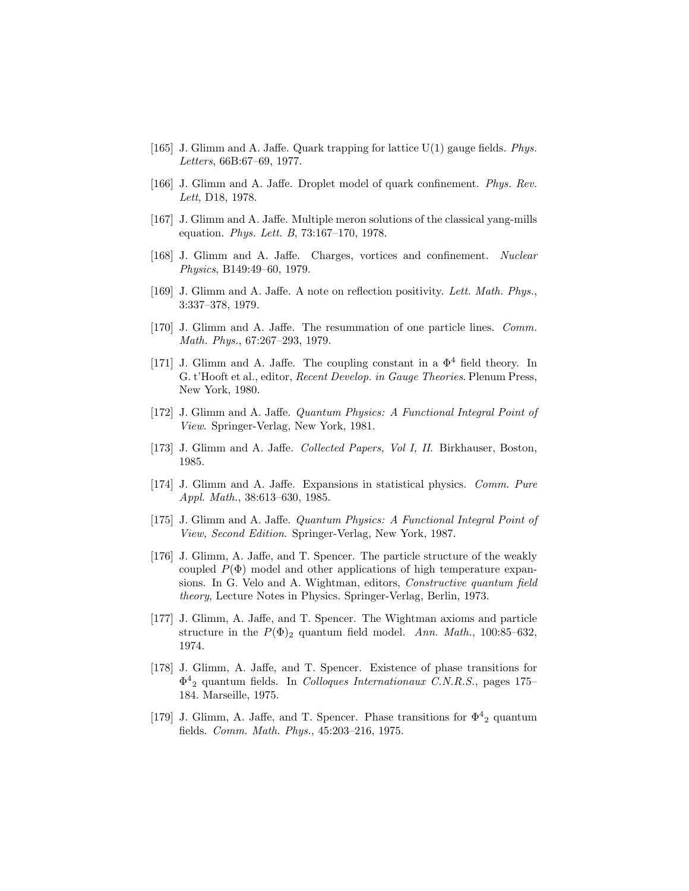- [165] J. Glimm and A. Jaffe. Quark trapping for lattice  $U(1)$  gauge fields. Phys. Letters, 66B:67–69, 1977.
- [166] J. Glimm and A. Jaffe. Droplet model of quark confinement. Phys. Rev. Lett, D18, 1978.
- [167] J. Glimm and A. Jaffe. Multiple meron solutions of the classical yang-mills equation. Phys. Lett. B, 73:167–170, 1978.
- [168] J. Glimm and A. Jaffe. Charges, vortices and confinement. Nuclear Physics, B149:49–60, 1979.
- [169] J. Glimm and A. Jaffe. A note on reflection positivity. Lett. Math. Phys., 3:337–378, 1979.
- [170] J. Glimm and A. Jaffe. The resummation of one particle lines. Comm. Math. Phys., 67:267–293, 1979.
- [171] J. Glimm and A. Jaffe. The coupling constant in a  $\Phi^4$  field theory. In G. t'Hooft et al., editor, Recent Develop. in Gauge Theories. Plenum Press, New York, 1980.
- [172] J. Glimm and A. Jaffe. Quantum Physics: A Functional Integral Point of View. Springer-Verlag, New York, 1981.
- [173] J. Glimm and A. Jaffe. Collected Papers, Vol I, II. Birkhauser, Boston, 1985.
- [174] J. Glimm and A. Jaffe. Expansions in statistical physics. Comm. Pure Appl. Math., 38:613–630, 1985.
- [175] J. Glimm and A. Jaffe. Quantum Physics: A Functional Integral Point of View, Second Edition. Springer-Verlag, New York, 1987.
- [176] J. Glimm, A. Jaffe, and T. Spencer. The particle structure of the weakly coupled  $P(\Phi)$  model and other applications of high temperature expansions. In G. Velo and A. Wightman, editors, Constructive quantum field theory, Lecture Notes in Physics. Springer-Verlag, Berlin, 1973.
- [177] J. Glimm, A. Jaffe, and T. Spencer. The Wightman axioms and particle structure in the  $P(\Phi)_{2}$  quantum field model. Ann. Math., 100:85–632, 1974.
- [178] J. Glimm, A. Jaffe, and T. Spencer. Existence of phase transitions for  $\Phi^4$ <sub>2</sub> quantum fields. In *Colloques Internationaux C.N.R.S.*, pages 175– 184. Marseille, 1975.
- [179] J. Glimm, A. Jaffe, and T. Spencer. Phase transitions for  $\Phi^4$ <sub>2</sub> quantum fields. Comm. Math. Phys., 45:203–216, 1975.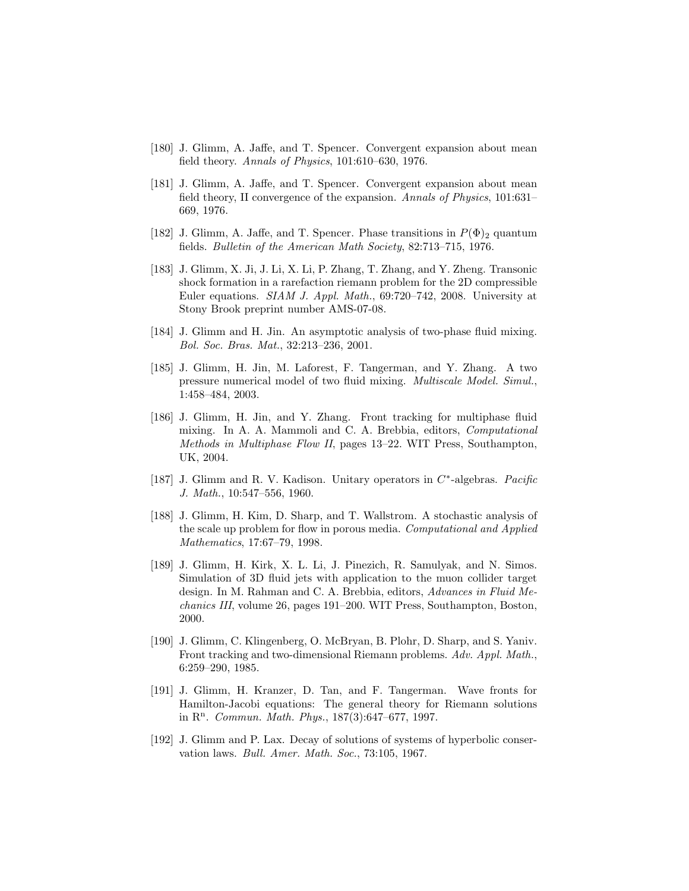- [180] J. Glimm, A. Jaffe, and T. Spencer. Convergent expansion about mean field theory. Annals of Physics, 101:610–630, 1976.
- [181] J. Glimm, A. Jaffe, and T. Spencer. Convergent expansion about mean field theory, II convergence of the expansion. Annals of Physics, 101:631– 669, 1976.
- [182] J. Glimm, A. Jaffe, and T. Spencer. Phase transitions in  $P(\Phi)_2$  quantum fields. Bulletin of the American Math Society, 82:713–715, 1976.
- [183] J. Glimm, X. Ji, J. Li, X. Li, P. Zhang, T. Zhang, and Y. Zheng. Transonic shock formation in a rarefaction riemann problem for the 2D compressible Euler equations. SIAM J. Appl. Math., 69:720–742, 2008. University at Stony Brook preprint number AMS-07-08.
- [184] J. Glimm and H. Jin. An asymptotic analysis of two-phase fluid mixing. Bol. Soc. Bras. Mat., 32:213–236, 2001.
- [185] J. Glimm, H. Jin, M. Laforest, F. Tangerman, and Y. Zhang. A two pressure numerical model of two fluid mixing. Multiscale Model. Simul., 1:458–484, 2003.
- [186] J. Glimm, H. Jin, and Y. Zhang. Front tracking for multiphase fluid mixing. In A. A. Mammoli and C. A. Brebbia, editors, Computational Methods in Multiphase Flow II, pages 13–22. WIT Press, Southampton, UK, 2004.
- [187] J. Glimm and R. V. Kadison. Unitary operators in  $C^*$ -algebras. Pacific J. Math., 10:547–556, 1960.
- [188] J. Glimm, H. Kim, D. Sharp, and T. Wallstrom. A stochastic analysis of the scale up problem for flow in porous media. Computational and Applied Mathematics, 17:67–79, 1998.
- [189] J. Glimm, H. Kirk, X. L. Li, J. Pinezich, R. Samulyak, and N. Simos. Simulation of 3D fluid jets with application to the muon collider target design. In M. Rahman and C. A. Brebbia, editors, Advances in Fluid Mechanics III, volume 26, pages 191–200. WIT Press, Southampton, Boston, 2000.
- [190] J. Glimm, C. Klingenberg, O. McBryan, B. Plohr, D. Sharp, and S. Yaniv. Front tracking and two-dimensional Riemann problems. Adv. Appl. Math., 6:259–290, 1985.
- [191] J. Glimm, H. Kranzer, D. Tan, and F. Tangerman. Wave fronts for Hamilton-Jacobi equations: The general theory for Riemann solutions in  $\mathbb{R}^n$ . Commun. Math. Phys., 187(3):647–677, 1997.
- [192] J. Glimm and P. Lax. Decay of solutions of systems of hyperbolic conservation laws. Bull. Amer. Math. Soc., 73:105, 1967.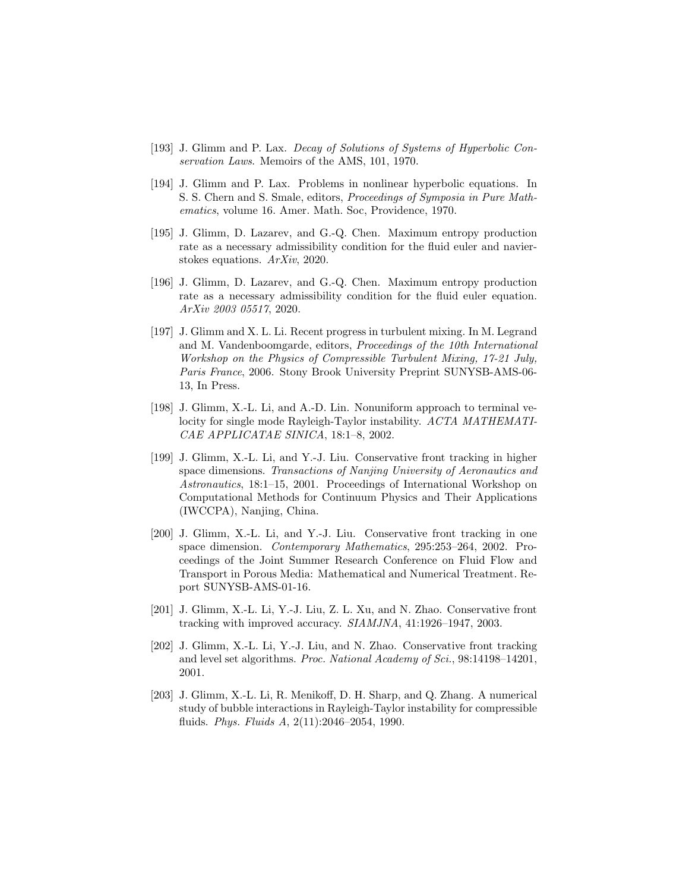- [193] J. Glimm and P. Lax. Decay of Solutions of Systems of Hyperbolic Conservation Laws. Memoirs of the AMS, 101, 1970.
- [194] J. Glimm and P. Lax. Problems in nonlinear hyperbolic equations. In S. S. Chern and S. Smale, editors, Proceedings of Symposia in Pure Mathematics, volume 16. Amer. Math. Soc, Providence, 1970.
- [195] J. Glimm, D. Lazarev, and G.-Q. Chen. Maximum entropy production rate as a necessary admissibility condition for the fluid euler and navierstokes equations. ArXiv, 2020.
- [196] J. Glimm, D. Lazarev, and G.-Q. Chen. Maximum entropy production rate as a necessary admissibility condition for the fluid euler equation. ArXiv 2003 05517, 2020.
- [197] J. Glimm and X. L. Li. Recent progress in turbulent mixing. In M. Legrand and M. Vandenboomgarde, editors, Proceedings of the 10th International Workshop on the Physics of Compressible Turbulent Mixing, 17-21 July, Paris France, 2006. Stony Brook University Preprint SUNYSB-AMS-06- 13, In Press.
- [198] J. Glimm, X.-L. Li, and A.-D. Lin. Nonuniform approach to terminal velocity for single mode Rayleigh-Taylor instability. ACTA MATHEMATI-CAE APPLICATAE SINICA, 18:1–8, 2002.
- [199] J. Glimm, X.-L. Li, and Y.-J. Liu. Conservative front tracking in higher space dimensions. Transactions of Nanjing University of Aeronautics and Astronautics, 18:1–15, 2001. Proceedings of International Workshop on Computational Methods for Continuum Physics and Their Applications (IWCCPA), Nanjing, China.
- [200] J. Glimm, X.-L. Li, and Y.-J. Liu. Conservative front tracking in one space dimension. Contemporary Mathematics, 295:253–264, 2002. Proceedings of the Joint Summer Research Conference on Fluid Flow and Transport in Porous Media: Mathematical and Numerical Treatment. Report SUNYSB-AMS-01-16.
- [201] J. Glimm, X.-L. Li, Y.-J. Liu, Z. L. Xu, and N. Zhao. Conservative front tracking with improved accuracy. SIAMJNA, 41:1926–1947, 2003.
- [202] J. Glimm, X.-L. Li, Y.-J. Liu, and N. Zhao. Conservative front tracking and level set algorithms. Proc. National Academy of Sci., 98:14198–14201, 2001.
- [203] J. Glimm, X.-L. Li, R. Menikoff, D. H. Sharp, and Q. Zhang. A numerical study of bubble interactions in Rayleigh-Taylor instability for compressible fluids. Phys. Fluids A, 2(11):2046–2054, 1990.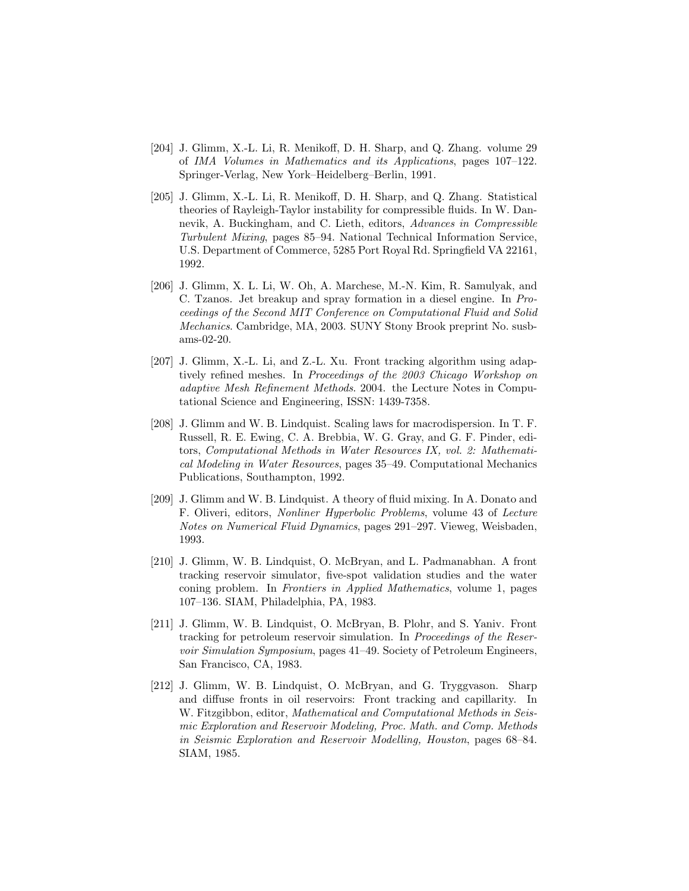- [204] J. Glimm, X.-L. Li, R. Menikoff, D. H. Sharp, and Q. Zhang. volume 29 of IMA Volumes in Mathematics and its Applications, pages 107–122. Springer-Verlag, New York–Heidelberg–Berlin, 1991.
- [205] J. Glimm, X.-L. Li, R. Menikoff, D. H. Sharp, and Q. Zhang. Statistical theories of Rayleigh-Taylor instability for compressible fluids. In W. Dannevik, A. Buckingham, and C. Lieth, editors, Advances in Compressible Turbulent Mixing, pages 85–94. National Technical Information Service, U.S. Department of Commerce, 5285 Port Royal Rd. Springfield VA 22161, 1992.
- [206] J. Glimm, X. L. Li, W. Oh, A. Marchese, M.-N. Kim, R. Samulyak, and C. Tzanos. Jet breakup and spray formation in a diesel engine. In Proceedings of the Second MIT Conference on Computational Fluid and Solid Mechanics. Cambridge, MA, 2003. SUNY Stony Brook preprint No. susbams-02-20.
- [207] J. Glimm, X.-L. Li, and Z.-L. Xu. Front tracking algorithm using adaptively refined meshes. In Proceedings of the 2003 Chicago Workshop on adaptive Mesh Refinement Methods. 2004. the Lecture Notes in Computational Science and Engineering, ISSN: 1439-7358.
- [208] J. Glimm and W. B. Lindquist. Scaling laws for macrodispersion. In T. F. Russell, R. E. Ewing, C. A. Brebbia, W. G. Gray, and G. F. Pinder, editors, Computational Methods in Water Resources IX, vol. 2: Mathematical Modeling in Water Resources, pages 35–49. Computational Mechanics Publications, Southampton, 1992.
- [209] J. Glimm and W. B. Lindquist. A theory of fluid mixing. In A. Donato and F. Oliveri, editors, Nonliner Hyperbolic Problems, volume 43 of Lecture Notes on Numerical Fluid Dynamics, pages 291–297. Vieweg, Weisbaden, 1993.
- [210] J. Glimm, W. B. Lindquist, O. McBryan, and L. Padmanabhan. A front tracking reservoir simulator, five-spot validation studies and the water coning problem. In Frontiers in Applied Mathematics, volume 1, pages 107–136. SIAM, Philadelphia, PA, 1983.
- [211] J. Glimm, W. B. Lindquist, O. McBryan, B. Plohr, and S. Yaniv. Front tracking for petroleum reservoir simulation. In Proceedings of the Reservoir Simulation Symposium, pages 41–49. Society of Petroleum Engineers, San Francisco, CA, 1983.
- [212] J. Glimm, W. B. Lindquist, O. McBryan, and G. Tryggvason. Sharp and diffuse fronts in oil reservoirs: Front tracking and capillarity. In W. Fitzgibbon, editor, Mathematical and Computational Methods in Seismic Exploration and Reservoir Modeling, Proc. Math. and Comp. Methods in Seismic Exploration and Reservoir Modelling, Houston, pages 68–84. SIAM, 1985.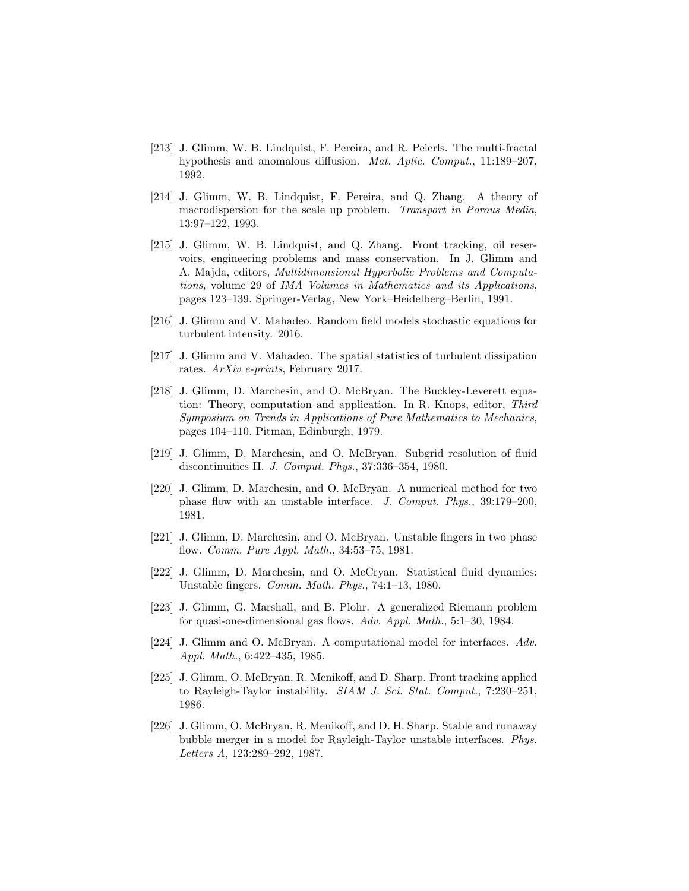- [213] J. Glimm, W. B. Lindquist, F. Pereira, and R. Peierls. The multi-fractal hypothesis and anomalous diffusion. Mat. Aplic. Comput., 11:189-207, 1992.
- [214] J. Glimm, W. B. Lindquist, F. Pereira, and Q. Zhang. A theory of macrodispersion for the scale up problem. Transport in Porous Media, 13:97–122, 1993.
- [215] J. Glimm, W. B. Lindquist, and Q. Zhang. Front tracking, oil reservoirs, engineering problems and mass conservation. In J. Glimm and A. Majda, editors, Multidimensional Hyperbolic Problems and Computations, volume 29 of IMA Volumes in Mathematics and its Applications, pages 123–139. Springer-Verlag, New York–Heidelberg–Berlin, 1991.
- [216] J. Glimm and V. Mahadeo. Random field models stochastic equations for turbulent intensity. 2016.
- [217] J. Glimm and V. Mahadeo. The spatial statistics of turbulent dissipation rates. ArXiv e-prints, February 2017.
- [218] J. Glimm, D. Marchesin, and O. McBryan. The Buckley-Leverett equation: Theory, computation and application. In R. Knops, editor, Third Symposium on Trends in Applications of Pure Mathematics to Mechanics, pages 104–110. Pitman, Edinburgh, 1979.
- [219] J. Glimm, D. Marchesin, and O. McBryan. Subgrid resolution of fluid discontinuities II. J. Comput. Phys., 37:336–354, 1980.
- [220] J. Glimm, D. Marchesin, and O. McBryan. A numerical method for two phase flow with an unstable interface. J. Comput. Phys., 39:179–200, 1981.
- [221] J. Glimm, D. Marchesin, and O. McBryan. Unstable fingers in two phase flow. Comm. Pure Appl. Math., 34:53–75, 1981.
- [222] J. Glimm, D. Marchesin, and O. McCryan. Statistical fluid dynamics: Unstable fingers. Comm. Math. Phys., 74:1–13, 1980.
- [223] J. Glimm, G. Marshall, and B. Plohr. A generalized Riemann problem for quasi-one-dimensional gas flows. Adv. Appl. Math., 5:1–30, 1984.
- [224] J. Glimm and O. McBryan. A computational model for interfaces. Adv. Appl. Math., 6:422–435, 1985.
- [225] J. Glimm, O. McBryan, R. Menikoff, and D. Sharp. Front tracking applied to Rayleigh-Taylor instability. SIAM J. Sci. Stat. Comput., 7:230-251, 1986.
- [226] J. Glimm, O. McBryan, R. Menikoff, and D. H. Sharp. Stable and runaway bubble merger in a model for Rayleigh-Taylor unstable interfaces. Phys. Letters A, 123:289–292, 1987.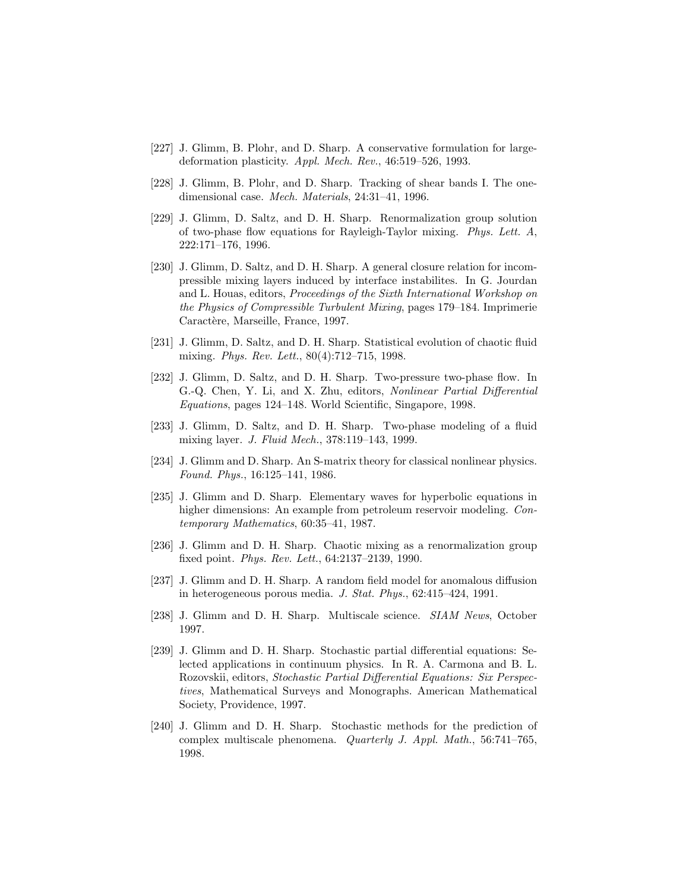- [227] J. Glimm, B. Plohr, and D. Sharp. A conservative formulation for largedeformation plasticity. Appl. Mech. Rev., 46:519–526, 1993.
- [228] J. Glimm, B. Plohr, and D. Sharp. Tracking of shear bands I. The onedimensional case. Mech. Materials, 24:31–41, 1996.
- [229] J. Glimm, D. Saltz, and D. H. Sharp. Renormalization group solution of two-phase flow equations for Rayleigh-Taylor mixing. Phys. Lett. A, 222:171–176, 1996.
- [230] J. Glimm, D. Saltz, and D. H. Sharp. A general closure relation for incompressible mixing layers induced by interface instabilites. In G. Jourdan and L. Houas, editors, Proceedings of the Sixth International Workshop on the Physics of Compressible Turbulent Mixing, pages 179–184. Imprimerie Caractère, Marseille, France, 1997.
- [231] J. Glimm, D. Saltz, and D. H. Sharp. Statistical evolution of chaotic fluid mixing. Phys. Rev. Lett., 80(4):712–715, 1998.
- [232] J. Glimm, D. Saltz, and D. H. Sharp. Two-pressure two-phase flow. In G.-Q. Chen, Y. Li, and X. Zhu, editors, Nonlinear Partial Differential Equations, pages 124–148. World Scientific, Singapore, 1998.
- [233] J. Glimm, D. Saltz, and D. H. Sharp. Two-phase modeling of a fluid mixing layer. J. Fluid Mech., 378:119–143, 1999.
- [234] J. Glimm and D. Sharp. An S-matrix theory for classical nonlinear physics. Found. Phys., 16:125–141, 1986.
- [235] J. Glimm and D. Sharp. Elementary waves for hyperbolic equations in higher dimensions: An example from petroleum reservoir modeling. Contemporary Mathematics, 60:35–41, 1987.
- [236] J. Glimm and D. H. Sharp. Chaotic mixing as a renormalization group fixed point. Phys. Rev. Lett., 64:2137–2139, 1990.
- [237] J. Glimm and D. H. Sharp. A random field model for anomalous diffusion in heterogeneous porous media. J. Stat. Phys., 62:415–424, 1991.
- [238] J. Glimm and D. H. Sharp. Multiscale science. SIAM News, October 1997.
- [239] J. Glimm and D. H. Sharp. Stochastic partial differential equations: Selected applications in continuum physics. In R. A. Carmona and B. L. Rozovskii, editors, Stochastic Partial Differential Equations: Six Perspectives, Mathematical Surveys and Monographs. American Mathematical Society, Providence, 1997.
- [240] J. Glimm and D. H. Sharp. Stochastic methods for the prediction of complex multiscale phenomena. Quarterly J. Appl. Math., 56:741–765, 1998.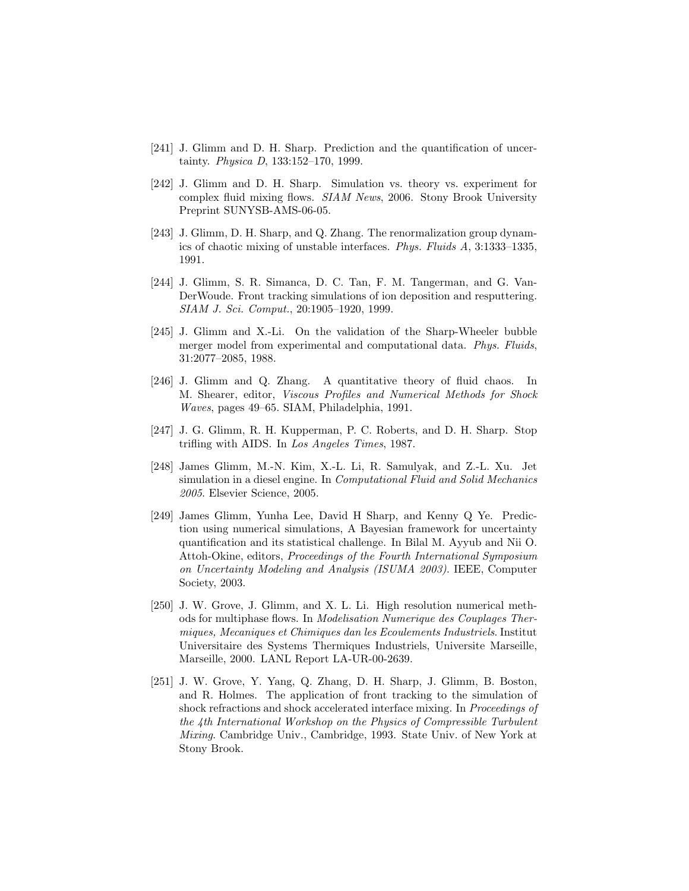- [241] J. Glimm and D. H. Sharp. Prediction and the quantification of uncertainty. Physica D, 133:152–170, 1999.
- [242] J. Glimm and D. H. Sharp. Simulation vs. theory vs. experiment for complex fluid mixing flows. SIAM News, 2006. Stony Brook University Preprint SUNYSB-AMS-06-05.
- [243] J. Glimm, D. H. Sharp, and Q. Zhang. The renormalization group dynamics of chaotic mixing of unstable interfaces. Phys. Fluids A, 3:1333–1335, 1991.
- [244] J. Glimm, S. R. Simanca, D. C. Tan, F. M. Tangerman, and G. Van-DerWoude. Front tracking simulations of ion deposition and resputtering. SIAM J. Sci. Comput., 20:1905–1920, 1999.
- [245] J. Glimm and X.-Li. On the validation of the Sharp-Wheeler bubble merger model from experimental and computational data. Phys. Fluids, 31:2077–2085, 1988.
- [246] J. Glimm and Q. Zhang. A quantitative theory of fluid chaos. In M. Shearer, editor, Viscous Profiles and Numerical Methods for Shock Waves, pages 49–65. SIAM, Philadelphia, 1991.
- [247] J. G. Glimm, R. H. Kupperman, P. C. Roberts, and D. H. Sharp. Stop trifling with AIDS. In Los Angeles Times, 1987.
- [248] James Glimm, M.-N. Kim, X.-L. Li, R. Samulyak, and Z.-L. Xu. Jet simulation in a diesel engine. In *Computational Fluid and Solid Mechanics* 2005. Elsevier Science, 2005.
- [249] James Glimm, Yunha Lee, David H Sharp, and Kenny Q Ye. Prediction using numerical simulations, A Bayesian framework for uncertainty quantification and its statistical challenge. In Bilal M. Ayyub and Nii O. Attoh-Okine, editors, Proceedings of the Fourth International Symposium on Uncertainty Modeling and Analysis (ISUMA 2003). IEEE, Computer Society, 2003.
- [250] J. W. Grove, J. Glimm, and X. L. Li. High resolution numerical methods for multiphase flows. In Modelisation Numerique des Couplages Thermiques, Mecaniques et Chimiques dan les Ecoulements Industriels. Institut Universitaire des Systems Thermiques Industriels, Universite Marseille, Marseille, 2000. LANL Report LA-UR-00-2639.
- [251] J. W. Grove, Y. Yang, Q. Zhang, D. H. Sharp, J. Glimm, B. Boston, and R. Holmes. The application of front tracking to the simulation of shock refractions and shock accelerated interface mixing. In Proceedings of the 4th International Workshop on the Physics of Compressible Turbulent Mixing. Cambridge Univ., Cambridge, 1993. State Univ. of New York at Stony Brook.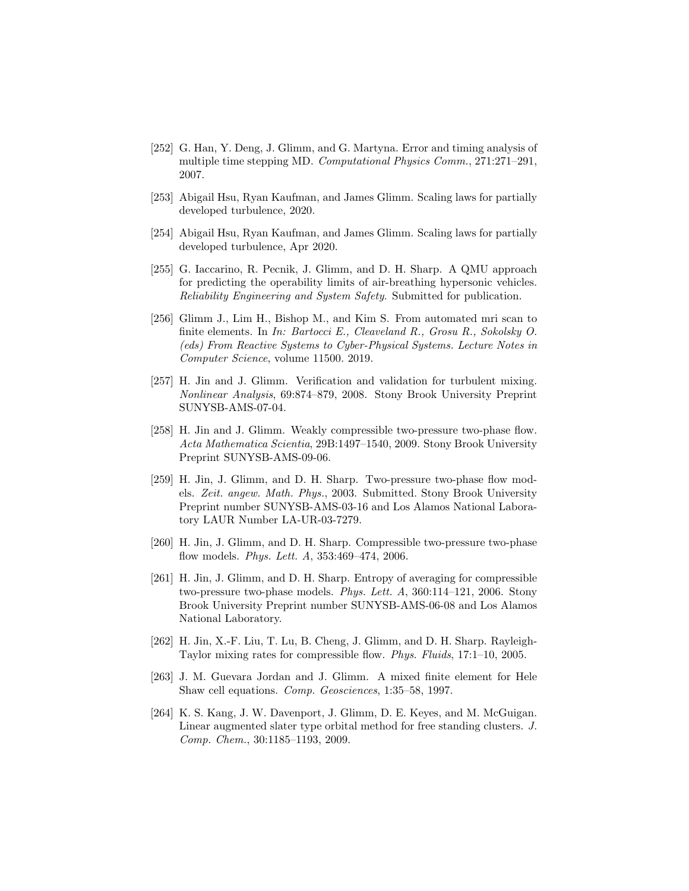- [252] G. Han, Y. Deng, J. Glimm, and G. Martyna. Error and timing analysis of multiple time stepping MD. Computational Physics Comm., 271:271–291, 2007.
- [253] Abigail Hsu, Ryan Kaufman, and James Glimm. Scaling laws for partially developed turbulence, 2020.
- [254] Abigail Hsu, Ryan Kaufman, and James Glimm. Scaling laws for partially developed turbulence, Apr 2020.
- [255] G. Iaccarino, R. Pecnik, J. Glimm, and D. H. Sharp. A QMU approach for predicting the operability limits of air-breathing hypersonic vehicles. Reliability Engineering and System Safety. Submitted for publication.
- [256] Glimm J., Lim H., Bishop M., and Kim S. From automated mri scan to finite elements. In In: Bartocci E., Cleaveland R., Grosu R., Sokolsky O. (eds) From Reactive Systems to Cyber-Physical Systems. Lecture Notes in Computer Science, volume 11500. 2019.
- [257] H. Jin and J. Glimm. Verification and validation for turbulent mixing. Nonlinear Analysis, 69:874–879, 2008. Stony Brook University Preprint SUNYSB-AMS-07-04.
- [258] H. Jin and J. Glimm. Weakly compressible two-pressure two-phase flow. Acta Mathematica Scientia, 29B:1497–1540, 2009. Stony Brook University Preprint SUNYSB-AMS-09-06.
- [259] H. Jin, J. Glimm, and D. H. Sharp. Two-pressure two-phase flow models. Zeit. angew. Math. Phys., 2003. Submitted. Stony Brook University Preprint number SUNYSB-AMS-03-16 and Los Alamos National Laboratory LAUR Number LA-UR-03-7279.
- [260] H. Jin, J. Glimm, and D. H. Sharp. Compressible two-pressure two-phase flow models. Phys. Lett. A, 353:469–474, 2006.
- [261] H. Jin, J. Glimm, and D. H. Sharp. Entropy of averaging for compressible two-pressure two-phase models. Phys. Lett. A, 360:114–121, 2006. Stony Brook University Preprint number SUNYSB-AMS-06-08 and Los Alamos National Laboratory.
- [262] H. Jin, X.-F. Liu, T. Lu, B. Cheng, J. Glimm, and D. H. Sharp. Rayleigh-Taylor mixing rates for compressible flow. Phys. Fluids, 17:1–10, 2005.
- [263] J. M. Guevara Jordan and J. Glimm. A mixed finite element for Hele Shaw cell equations. Comp. Geosciences, 1:35–58, 1997.
- [264] K. S. Kang, J. W. Davenport, J. Glimm, D. E. Keyes, and M. McGuigan. Linear augmented slater type orbital method for free standing clusters. J. Comp. Chem., 30:1185–1193, 2009.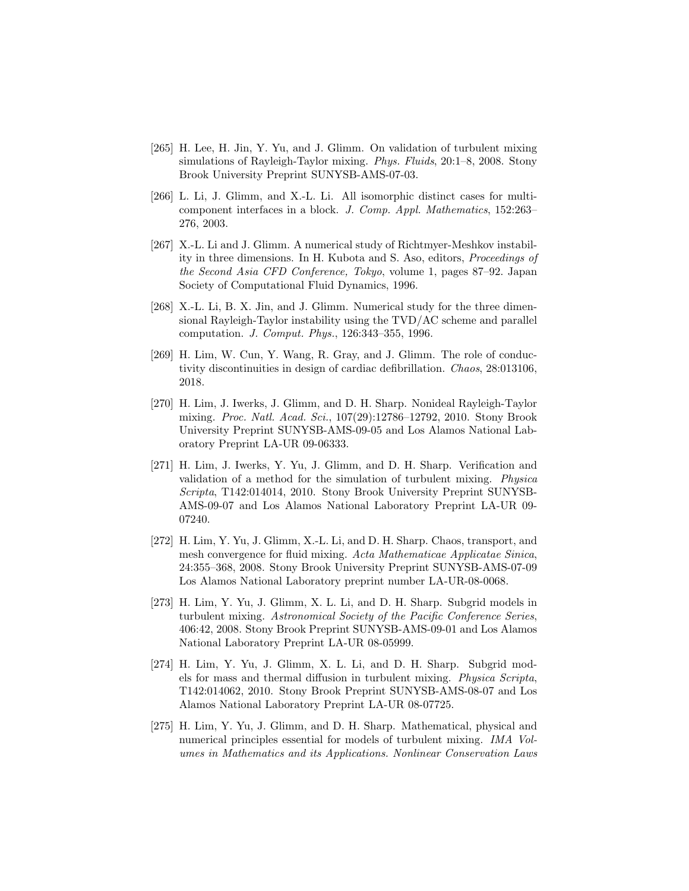- [265] H. Lee, H. Jin, Y. Yu, and J. Glimm. On validation of turbulent mixing simulations of Rayleigh-Taylor mixing. Phys. Fluids, 20:1–8, 2008. Stony Brook University Preprint SUNYSB-AMS-07-03.
- [266] L. Li, J. Glimm, and X.-L. Li. All isomorphic distinct cases for multicomponent interfaces in a block. J. Comp. Appl. Mathematics, 152:263– 276, 2003.
- [267] X.-L. Li and J. Glimm. A numerical study of Richtmyer-Meshkov instability in three dimensions. In H. Kubota and S. Aso, editors, Proceedings of the Second Asia CFD Conference, Tokyo, volume 1, pages 87–92. Japan Society of Computational Fluid Dynamics, 1996.
- [268] X.-L. Li, B. X. Jin, and J. Glimm. Numerical study for the three dimensional Rayleigh-Taylor instability using the TVD/AC scheme and parallel computation. J. Comput. Phys., 126:343–355, 1996.
- [269] H. Lim, W. Cun, Y. Wang, R. Gray, and J. Glimm. The role of conductivity discontinuities in design of cardiac defibrillation. Chaos, 28:013106, 2018.
- [270] H. Lim, J. Iwerks, J. Glimm, and D. H. Sharp. Nonideal Rayleigh-Taylor mixing. Proc. Natl. Acad. Sci., 107(29):12786–12792, 2010. Stony Brook University Preprint SUNYSB-AMS-09-05 and Los Alamos National Laboratory Preprint LA-UR 09-06333.
- [271] H. Lim, J. Iwerks, Y. Yu, J. Glimm, and D. H. Sharp. Verification and validation of a method for the simulation of turbulent mixing. Physica Scripta, T142:014014, 2010. Stony Brook University Preprint SUNYSB-AMS-09-07 and Los Alamos National Laboratory Preprint LA-UR 09- 07240.
- [272] H. Lim, Y. Yu, J. Glimm, X.-L. Li, and D. H. Sharp. Chaos, transport, and mesh convergence for fluid mixing. Acta Mathematicae Applicatae Sinica, 24:355–368, 2008. Stony Brook University Preprint SUNYSB-AMS-07-09 Los Alamos National Laboratory preprint number LA-UR-08-0068.
- [273] H. Lim, Y. Yu, J. Glimm, X. L. Li, and D. H. Sharp. Subgrid models in turbulent mixing. Astronomical Society of the Pacific Conference Series, 406:42, 2008. Stony Brook Preprint SUNYSB-AMS-09-01 and Los Alamos National Laboratory Preprint LA-UR 08-05999.
- [274] H. Lim, Y. Yu, J. Glimm, X. L. Li, and D. H. Sharp. Subgrid models for mass and thermal diffusion in turbulent mixing. Physica Scripta, T142:014062, 2010. Stony Brook Preprint SUNYSB-AMS-08-07 and Los Alamos National Laboratory Preprint LA-UR 08-07725.
- [275] H. Lim, Y. Yu, J. Glimm, and D. H. Sharp. Mathematical, physical and numerical principles essential for models of turbulent mixing. IMA Volumes in Mathematics and its Applications. Nonlinear Conservation Laws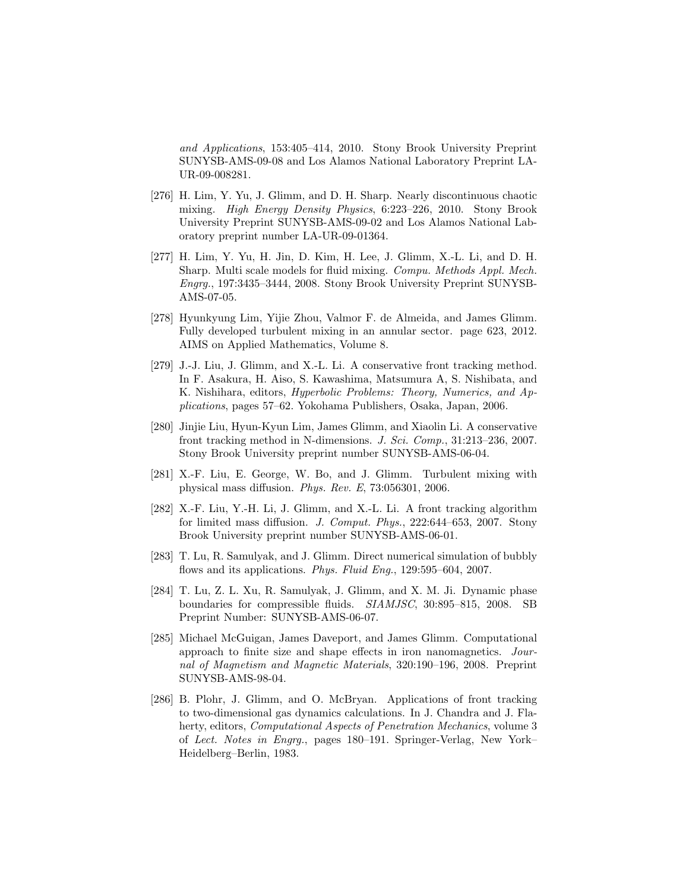and Applications, 153:405–414, 2010. Stony Brook University Preprint SUNYSB-AMS-09-08 and Los Alamos National Laboratory Preprint LA-UR-09-008281.

- [276] H. Lim, Y. Yu, J. Glimm, and D. H. Sharp. Nearly discontinuous chaotic mixing. High Energy Density Physics, 6:223–226, 2010. Stony Brook University Preprint SUNYSB-AMS-09-02 and Los Alamos National Laboratory preprint number LA-UR-09-01364.
- [277] H. Lim, Y. Yu, H. Jin, D. Kim, H. Lee, J. Glimm, X.-L. Li, and D. H. Sharp. Multi scale models for fluid mixing. Compu. Methods Appl. Mech. Engrg., 197:3435–3444, 2008. Stony Brook University Preprint SUNYSB-AMS-07-05.
- [278] Hyunkyung Lim, Yijie Zhou, Valmor F. de Almeida, and James Glimm. Fully developed turbulent mixing in an annular sector. page 623, 2012. AIMS on Applied Mathematics, Volume 8.
- [279] J.-J. Liu, J. Glimm, and X.-L. Li. A conservative front tracking method. In F. Asakura, H. Aiso, S. Kawashima, Matsumura A, S. Nishibata, and K. Nishihara, editors, Hyperbolic Problems: Theory, Numerics, and Applications, pages 57–62. Yokohama Publishers, Osaka, Japan, 2006.
- [280] Jinjie Liu, Hyun-Kyun Lim, James Glimm, and Xiaolin Li. A conservative front tracking method in N-dimensions. J. Sci. Comp., 31:213–236, 2007. Stony Brook University preprint number SUNYSB-AMS-06-04.
- [281] X.-F. Liu, E. George, W. Bo, and J. Glimm. Turbulent mixing with physical mass diffusion. Phys. Rev. E, 73:056301, 2006.
- [282] X.-F. Liu, Y.-H. Li, J. Glimm, and X.-L. Li. A front tracking algorithm for limited mass diffusion. J. Comput. Phys., 222:644–653, 2007. Stony Brook University preprint number SUNYSB-AMS-06-01.
- [283] T. Lu, R. Samulyak, and J. Glimm. Direct numerical simulation of bubbly flows and its applications. Phys. Fluid Eng., 129:595-604, 2007.
- [284] T. Lu, Z. L. Xu, R. Samulyak, J. Glimm, and X. M. Ji. Dynamic phase boundaries for compressible fluids. SIAMJSC, 30:895–815, 2008. SB Preprint Number: SUNYSB-AMS-06-07.
- [285] Michael McGuigan, James Daveport, and James Glimm. Computational approach to finite size and shape effects in iron nanomagnetics. Journal of Magnetism and Magnetic Materials, 320:190–196, 2008. Preprint SUNYSB-AMS-98-04.
- [286] B. Plohr, J. Glimm, and O. McBryan. Applications of front tracking to two-dimensional gas dynamics calculations. In J. Chandra and J. Flaherty, editors, *Computational Aspects of Penetration Mechanics*, volume 3 of Lect. Notes in Engrg., pages 180–191. Springer-Verlag, New York– Heidelberg–Berlin, 1983.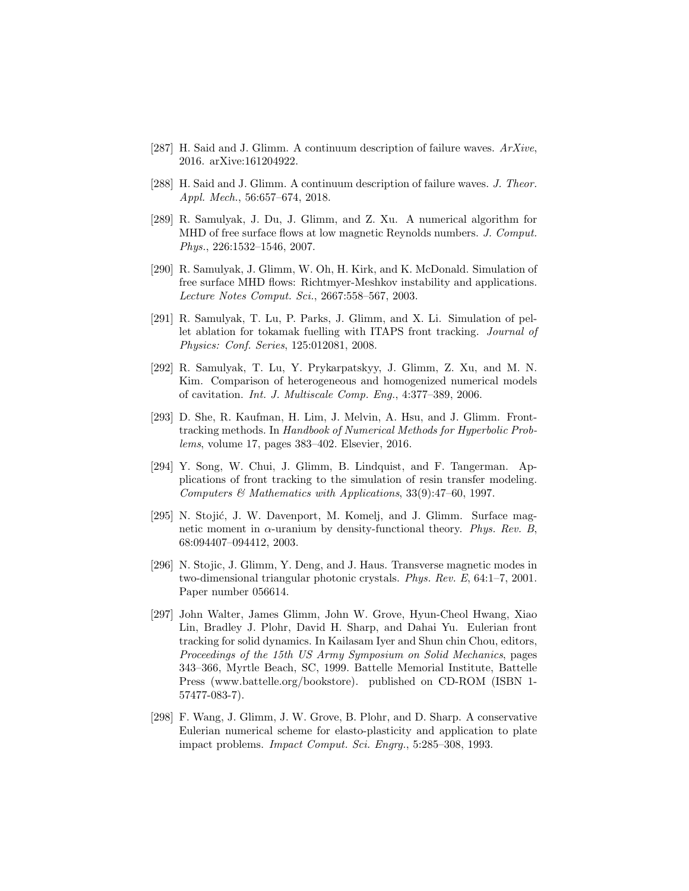- [287] H. Said and J. Glimm. A continuum description of failure waves.  $ArXive$ , 2016. arXive:161204922.
- [288] H. Said and J. Glimm. A continuum description of failure waves. J. Theor. Appl. Mech., 56:657–674, 2018.
- [289] R. Samulyak, J. Du, J. Glimm, and Z. Xu. A numerical algorithm for MHD of free surface flows at low magnetic Reynolds numbers. J. Comput. Phys., 226:1532–1546, 2007.
- [290] R. Samulyak, J. Glimm, W. Oh, H. Kirk, and K. McDonald. Simulation of free surface MHD flows: Richtmyer-Meshkov instability and applications. Lecture Notes Comput. Sci., 2667:558–567, 2003.
- [291] R. Samulyak, T. Lu, P. Parks, J. Glimm, and X. Li. Simulation of pellet ablation for tokamak fuelling with ITAPS front tracking. Journal of Physics: Conf. Series, 125:012081, 2008.
- [292] R. Samulyak, T. Lu, Y. Prykarpatskyy, J. Glimm, Z. Xu, and M. N. Kim. Comparison of heterogeneous and homogenized numerical models of cavitation. Int. J. Multiscale Comp. Eng., 4:377–389, 2006.
- [293] D. She, R. Kaufman, H. Lim, J. Melvin, A. Hsu, and J. Glimm. Fronttracking methods. In Handbook of Numerical Methods for Hyperbolic Problems, volume 17, pages 383–402. Elsevier, 2016.
- [294] Y. Song, W. Chui, J. Glimm, B. Lindquist, and F. Tangerman. Applications of front tracking to the simulation of resin transfer modeling. Computers  $\mathcal C$  Mathematics with Applications, 33(9):47–60, 1997.
- [295] N. Stojić, J. W. Davenport, M. Komelj, and J. Glimm. Surface magnetic moment in  $\alpha$ -uranium by density-functional theory. Phys. Rev. B, 68:094407–094412, 2003.
- [296] N. Stojic, J. Glimm, Y. Deng, and J. Haus. Transverse magnetic modes in two-dimensional triangular photonic crystals. Phys. Rev. E, 64:1–7, 2001. Paper number 056614.
- [297] John Walter, James Glimm, John W. Grove, Hyun-Cheol Hwang, Xiao Lin, Bradley J. Plohr, David H. Sharp, and Dahai Yu. Eulerian front tracking for solid dynamics. In Kailasam Iyer and Shun chin Chou, editors, Proceedings of the 15th US Army Symposium on Solid Mechanics, pages 343–366, Myrtle Beach, SC, 1999. Battelle Memorial Institute, Battelle Press (www.battelle.org/bookstore). published on CD-ROM (ISBN 1- 57477-083-7).
- [298] F. Wang, J. Glimm, J. W. Grove, B. Plohr, and D. Sharp. A conservative Eulerian numerical scheme for elasto-plasticity and application to plate impact problems. Impact Comput. Sci. Engrg., 5:285–308, 1993.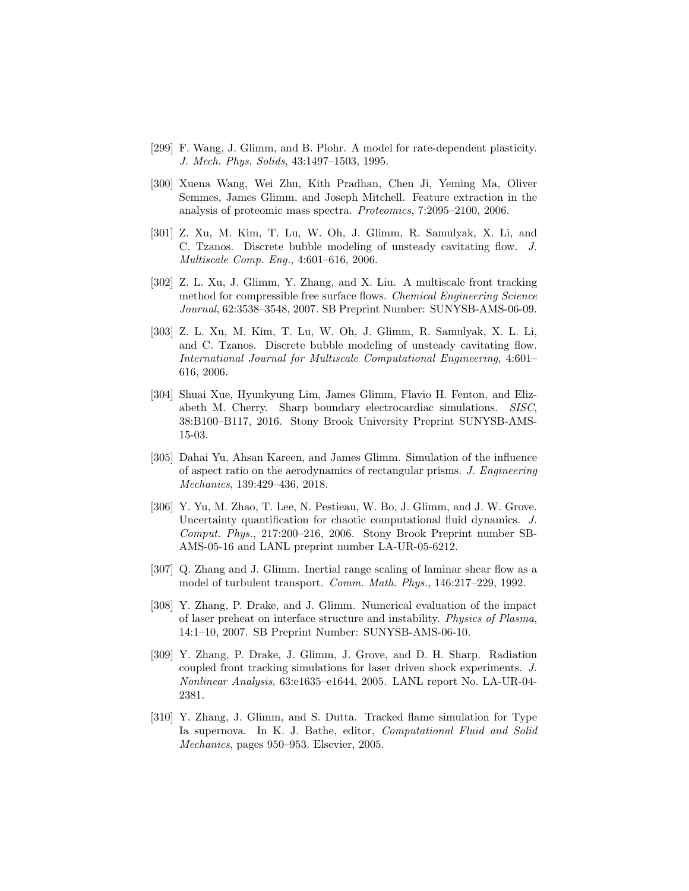- [299] F. Wang, J. Glimm, and B. Plohr. A model for rate-dependent plasticity. J. Mech. Phys. Solids, 43:1497–1503, 1995.
- [300] Xuena Wang, Wei Zhu, Kith Pradhan, Chen Ji, Yeming Ma, Oliver Semmes, James Glimm, and Joseph Mitchell. Feature extraction in the analysis of proteomic mass spectra. Proteomics, 7:2095–2100, 2006.
- [301] Z. Xu, M. Kim, T. Lu, W. Oh, J. Glimm, R. Samulyak, X. Li, and C. Tzanos. Discrete bubble modeling of unsteady cavitating flow. J. Multiscale Comp. Eng., 4:601–616, 2006.
- [302] Z. L. Xu, J. Glimm, Y. Zhang, and X. Liu. A multiscale front tracking method for compressible free surface flows. Chemical Engineering Science Journal, 62:3538–3548, 2007. SB Preprint Number: SUNYSB-AMS-06-09.
- [303] Z. L. Xu, M. Kim, T. Lu, W. Oh, J. Glimm, R. Samulyak, X. L. Li, and C. Tzanos. Discrete bubble modeling of unsteady cavitating flow. International Journal for Multiscale Computational Engineering, 4:601– 616, 2006.
- [304] Shuai Xue, Hyunkyung Lim, James Glimm, Flavio H. Fenton, and Elizabeth M. Cherry. Sharp boundary electrocardiac simulations. SISC, 38:B100–B117, 2016. Stony Brook University Preprint SUNYSB-AMS-15-03.
- [305] Dahai Yu, Ahsan Kareen, and James Glimm. Simulation of the influence of aspect ratio on the aerodynamics of rectangular prisms. J. Engineering Mechanics, 139:429–436, 2018.
- [306] Y. Yu, M. Zhao, T. Lee, N. Pestieau, W. Bo, J. Glimm, and J. W. Grove. Uncertainty quantification for chaotic computational fluid dynamics. J. Comput. Phys., 217:200–216, 2006. Stony Brook Preprint number SB-AMS-05-16 and LANL preprint number LA-UR-05-6212.
- [307] Q. Zhang and J. Glimm. Inertial range scaling of laminar shear flow as a model of turbulent transport. Comm. Math. Phys., 146:217–229, 1992.
- [308] Y. Zhang, P. Drake, and J. Glimm. Numerical evaluation of the impact of laser preheat on interface structure and instability. Physics of Plasma, 14:1–10, 2007. SB Preprint Number: SUNYSB-AMS-06-10.
- [309] Y. Zhang, P. Drake, J. Glimm, J. Grove, and D. H. Sharp. Radiation coupled front tracking simulations for laser driven shock experiments. J. Nonlinear Analysis, 63:e1635–e1644, 2005. LANL report No. LA-UR-04- 2381.
- [310] Y. Zhang, J. Glimm, and S. Dutta. Tracked flame simulation for Type Ia supernova. In K. J. Bathe, editor, *Computational Fluid and Solid* Mechanics, pages 950–953. Elsevier, 2005.